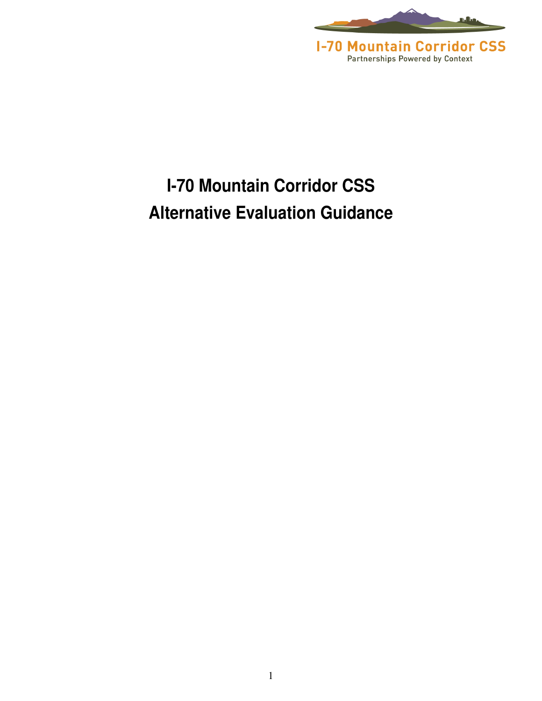

## **I-70 Mountain Corridor CSS Alternative Evaluation Guidance**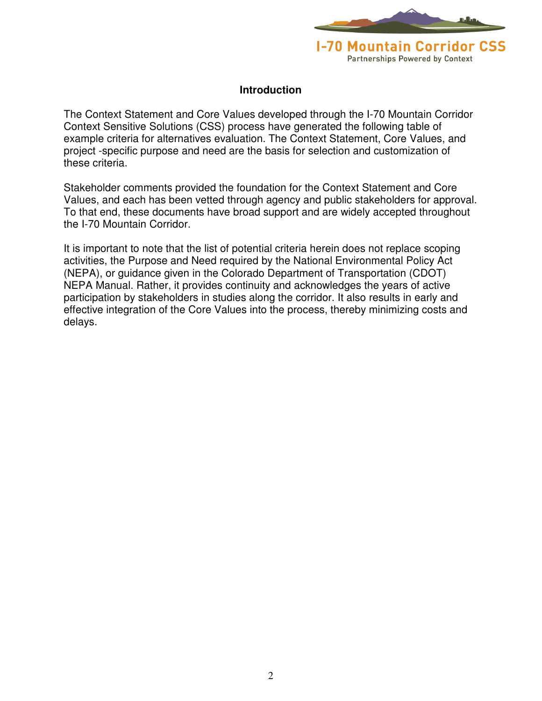

#### **Introduction**

The Context Statement and Core Values developed through the I-70 Mountain Corridor Context Sensitive Solutions (CSS) process have generated the following table of example criteria for alternatives evaluation. The Context Statement, Core Values, and project -specific purpose and need are the basis for selection and customization of these criteria.

Stakeholder comments provided the foundation for the Context Statement and Core Values, and each has been vetted through agency and public stakeholders for approval. To that end, these documents have broad support and are widely accepted throughout the I-70 Mountain Corridor.

It is important to note that the list of potential criteria herein does not replace scoping activities, the Purpose and Need required by the National Environmental Policy Act (NEPA), or guidance given in the Colorado Department of Transportation (CDOT) NEPA Manual. Rather, it provides continuity and acknowledges the years of active participation by stakeholders in studies along the corridor. It also results in early and effective integration of the Core Values into the process, thereby minimizing costs and delays.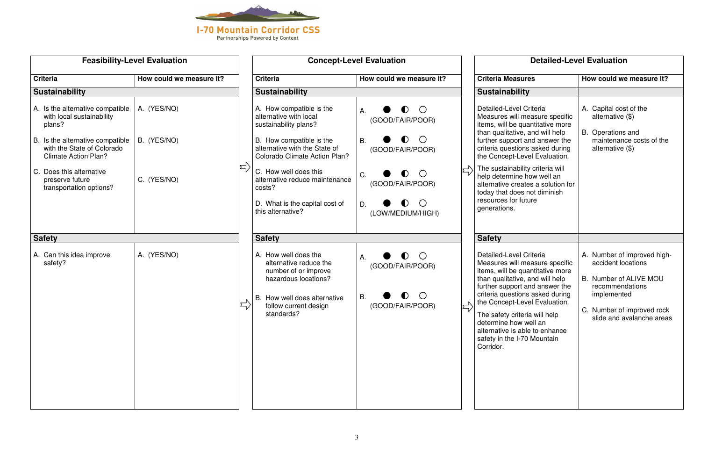

|                                                                                                                                                                          | <b>Feasibility-Level Evaluation</b> | <b>Concept-Level Evaluation</b>                                                                                                                                           |                                                                                                               |  | <b>Detailed-Level Evaluation</b>                                                                                                                                                                                                                                                                                                                                               |                                                                                                                                                                          |
|--------------------------------------------------------------------------------------------------------------------------------------------------------------------------|-------------------------------------|---------------------------------------------------------------------------------------------------------------------------------------------------------------------------|---------------------------------------------------------------------------------------------------------------|--|--------------------------------------------------------------------------------------------------------------------------------------------------------------------------------------------------------------------------------------------------------------------------------------------------------------------------------------------------------------------------------|--------------------------------------------------------------------------------------------------------------------------------------------------------------------------|
| <b>Criteria</b>                                                                                                                                                          | How could we measure it?            | <b>Criteria</b>                                                                                                                                                           | How could we measure it?                                                                                      |  | <b>Criteria Measures</b>                                                                                                                                                                                                                                                                                                                                                       | How could we measure it?                                                                                                                                                 |
| <b>Sustainability</b>                                                                                                                                                    |                                     | <b>Sustainability</b>                                                                                                                                                     |                                                                                                               |  | <b>Sustainability</b>                                                                                                                                                                                                                                                                                                                                                          |                                                                                                                                                                          |
| A. Is the alternative compatible<br>with local sustainability<br>plans?<br>B. Is the alternative compatible<br>with the State of Colorado<br><b>Climate Action Plan?</b> | A. (YES/NO)<br>B. (YES/NO)          | A. How compatible is the<br>alternative with local<br>sustainability plans?<br>B. How compatible is the<br>alternative with the State of<br>Colorado Climate Action Plan? | $\bullet$<br>$\bigcirc$<br>А.<br>(GOOD/FAIR/POOR)<br>$\bullet$<br>$\bigcirc$<br><b>B.</b><br>(GOOD/FAIR/POOR) |  | Detailed-Level Criteria<br>Measures will measure specific<br>items, will be quantitative more<br>than qualitative, and will help<br>further support and answer the<br>criteria questions asked during<br>the Concept-Level Evaluation.                                                                                                                                         | A. Capital cost of the<br>alternative $(\$)$<br>В.<br>Operations and<br>maintenance costs of the<br>alternative $(\$)$                                                   |
| C. Does this alternative<br>preserve future<br>transportation options?                                                                                                   | C. (YES/NO)                         | C. How well does this<br>alternative reduce maintenance<br>costs?<br>D. What is the capital cost of<br>this alternative?                                                  | $\bullet$<br>$\bigcirc$<br>C.<br>(GOOD/FAIR/POOR)<br>$\bullet$<br>$\bigcirc$<br>D.<br>(LOW/MEDIUM/HIGH)       |  | The sustainability criteria will<br>help determine how well an<br>alternative creates a solution for<br>today that does not diminish<br>resources for future<br>generations.                                                                                                                                                                                                   |                                                                                                                                                                          |
| <b>Safety</b>                                                                                                                                                            |                                     | <b>Safety</b>                                                                                                                                                             |                                                                                                               |  | <b>Safety</b>                                                                                                                                                                                                                                                                                                                                                                  |                                                                                                                                                                          |
| A. Can this idea improve<br>safety?                                                                                                                                      | A. (YES/NO)                         | A. How well does the<br>alternative reduce the<br>number of or improve<br>hazardous locations?<br>B. How well does alternative<br>follow current design<br>standards?     | $\bigcirc$<br>$\bullet$<br>А.<br>(GOOD/FAIR/POOR)<br>В.<br>(GOOD/FAIR/POOR)                                   |  | Detailed-Level Criteria<br>Measures will measure specific<br>items, will be quantitative more<br>than qualitative, and will help<br>further support and answer the<br>criteria questions asked during<br>the Concept-Level Evaluation.<br>The safety criteria will help<br>determine how well an<br>alternative is able to enhance<br>safety in the I-70 Mountain<br>Corridor. | A. Number of improved high-<br>accident locations<br>B. Number of ALIVE MOU<br>recommendations<br>implemented<br>C. Number of improved rock<br>slide and avalanche areas |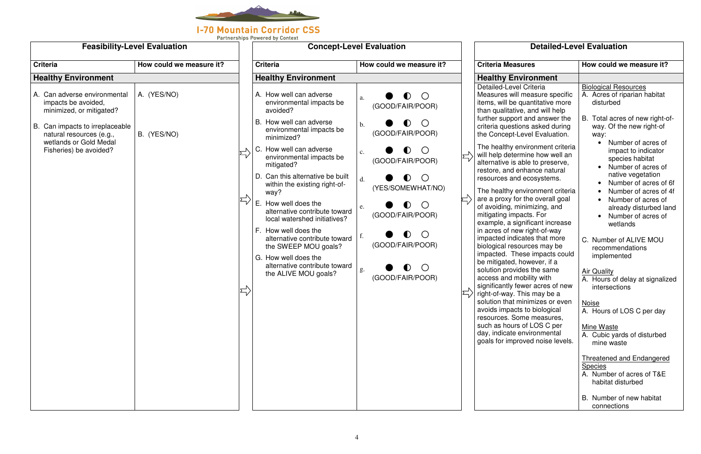

## **Detailed-Level Evaluation**

|                                                                                                                 | <b>Feasibility-Level Evaluation</b> |                                                                                            | <b>Concept-Level Evaluation</b>                                                          | <b>Detailed-Level Evaluation</b> |                                                                                                                                                                    |                                                                                                           |
|-----------------------------------------------------------------------------------------------------------------|-------------------------------------|--------------------------------------------------------------------------------------------|------------------------------------------------------------------------------------------|----------------------------------|--------------------------------------------------------------------------------------------------------------------------------------------------------------------|-----------------------------------------------------------------------------------------------------------|
| <b>Criteria</b>                                                                                                 | How could we measure it?            | <b>Criteria</b>                                                                            | How could we measure it?                                                                 |                                  | <b>Criteria Measures</b>                                                                                                                                           | How could we measure it?                                                                                  |
| <b>Healthy Environment</b>                                                                                      |                                     | <b>Healthy Environment</b>                                                                 |                                                                                          |                                  | <b>Healthy Environment</b>                                                                                                                                         |                                                                                                           |
| A. Can adverse environmental<br>impacts be avoided,<br>minimized, or mitigated?                                 | A. (YES/NO)                         | A. How well can adverse<br>environmental impacts be<br>avoided?<br>B. How well can adverse | $\bigcirc$<br>$\bullet$<br>a.<br>(GOOD/FAIR/POOR)                                        |                                  | Detailed-Level Criteria<br>Measures will measure specific<br>items, will be quantitative more<br>than qualitative, and will help<br>further support and answer the | <b>Biological Resources</b><br>A. Acres of riparian habitat<br>disturbed<br>B. Total acres of new right-o |
| B. Can impacts to irreplaceable<br>natural resources (e.g.,<br>wetlands or Gold Medal<br>Fisheries) be avoided? | B. (YES/NO)                         | environmental impacts be<br>minimized?<br>C. How well can adverse                          | $\mathbf{b}$ .<br>(GOOD/FAIR/POOR)<br>$\blacksquare$                                     |                                  | criteria questions asked during<br>the Concept-Level Evaluation.<br>The healthy environment criteria                                                               | way. Of the new right-of<br>way:<br>Number of acres of<br>impact to indicator                             |
|                                                                                                                 |                                     | environmental impacts be<br>mitigated?<br>D. Can this alternative be built                 | $\mathbf{c}$ .<br>(GOOD/FAIR/POOR)                                                       |                                  | will help determine how well an<br>alternative is able to preserve,<br>restore, and enhance natural                                                                | species habitat<br>Number of acres of<br>native vegetation                                                |
|                                                                                                                 |                                     | within the existing right-of-<br>way?<br>E. How well does the                              | $\left(\begin{array}{c} \end{array}\right)$<br>d.<br>$\blacksquare$<br>(YES/SOMEWHAT/NO) |                                  | resources and ecosystems.<br>The healthy environment criteria<br>are a proxy for the overall goal                                                                  | Number of acres of<br>Number of acres of<br>Number of acres of                                            |
|                                                                                                                 |                                     | alternative contribute toward<br>local watershed initiatives?<br>F. How well does the      | <sup>O</sup><br>$\bullet$<br>e.<br>(GOOD/FAIR/POOR)                                      |                                  | of avoiding, minimizing, and<br>mitigating impacts. For<br>example, a significant increase                                                                         | already disturbed la<br>Number of acres of<br>wetlands                                                    |
|                                                                                                                 |                                     | alternative contribute toward<br>the SWEEP MOU goals?<br>G. How well does the              | $\bigcap$<br>$\bullet$<br>(GOOD/FAIR/POOR)                                               |                                  | in acres of new right-of-way<br>impacted indicates that more<br>biological resources may be<br>impacted. These impacts could                                       | C. Number of ALIVE MOU<br>recommendations<br>implemented                                                  |
|                                                                                                                 |                                     | alternative contribute toward<br>the ALIVE MOU goals?                                      | g.<br>(GOOD/FAIR/POOR)                                                                   |                                  | be mitigated, however, if a<br>solution provides the same<br>access and mobility with<br>significantly fewer acres of new                                          | <b>Air Quality</b><br>A. Hours of delay at signaliz<br>intersections                                      |
|                                                                                                                 |                                     |                                                                                            |                                                                                          |                                  | right-of-way. This may be a<br>solution that minimizes or even<br>avoids impacts to biological                                                                     | <b>Noise</b><br>A. Hours of LOS C per day                                                                 |
|                                                                                                                 |                                     |                                                                                            |                                                                                          |                                  | resources. Some measures,<br>such as hours of LOS C per<br>day, indicate environmental<br>goals for improved noise levels.                                         | Mine Waste<br>A. Cubic yards of disturbed<br>mine waste                                                   |
|                                                                                                                 |                                     |                                                                                            |                                                                                          |                                  |                                                                                                                                                                    | <b>Threatened and Endangered</b><br><b>Species</b><br>A. Number of acres of T&E                           |
|                                                                                                                 |                                     |                                                                                            |                                                                                          |                                  |                                                                                                                                                                    | habitat disturbed<br>B. Number of new habitat<br>connections                                              |

| Criteria Measures                                                                                                                                                                                                                      | How could we measure it?                                                                                                                        |
|----------------------------------------------------------------------------------------------------------------------------------------------------------------------------------------------------------------------------------------|-------------------------------------------------------------------------------------------------------------------------------------------------|
| <b>Healthy Environment</b>                                                                                                                                                                                                             |                                                                                                                                                 |
| Detailed-Level Criteria<br>Measures will measure specific<br>items, will be quantitative more<br>than qualitative, and will help<br>further support and answer the<br>criteria questions asked during<br>the Concept-Level Evaluation. | <b>Biological Resources</b><br>A. Acres of riparian habitat<br>disturbed<br>B. Total acres of new right-of-<br>way. Of the new right-of<br>way: |
| The healthy environment criteria<br>will help determine how well an<br>alternative is able to preserve,<br>restore, and enhance natural<br>resources and ecosystems.                                                                   | Number of acres of<br>impact to indicator<br>species habitat<br>Number of acres of<br>native vegetation<br>Number of acres of 6f                |
| The healthy environment criteria<br>are a proxy for the overall goal<br>of avoiding, minimizing, and<br>mitigating impacts. For<br>example, a significant increase<br>in acres of new right-of-way                                     | Number of acres of 4f<br>Number of acres of<br>$\bullet$<br>already disturbed land<br>Number of acres of<br>$\bullet$<br>wetlands               |
| impacted indicates that more<br>biological resources may be<br>impacted. These impacts could<br>be mitigated, however, if a                                                                                                            | C. Number of ALIVE MOU<br>recommendations<br>implemented                                                                                        |
| solution provides the same<br>access and mobility with<br>significantly fewer acres of new<br>right-of-way. This may be a                                                                                                              | <b>Air Quality</b><br>A. Hours of delay at signalized<br>intersections                                                                          |
| solution that minimizes or even<br>avoids impacts to biological<br>resources. Some measures,                                                                                                                                           | <b>Noise</b><br>Hours of LOS C per day<br>A                                                                                                     |
| such as hours of LOS C per<br>day, indicate environmental<br>goals for improved noise levels.                                                                                                                                          | Mine Waste<br>A. Cubic yards of disturbed<br>mine waste                                                                                         |
|                                                                                                                                                                                                                                        | <b>Threatened and Endangered</b><br><b>Species</b><br>A. Number of acres of T&E<br>habitat disturbed                                            |
|                                                                                                                                                                                                                                        | B. Number of new habitat<br>connections                                                                                                         |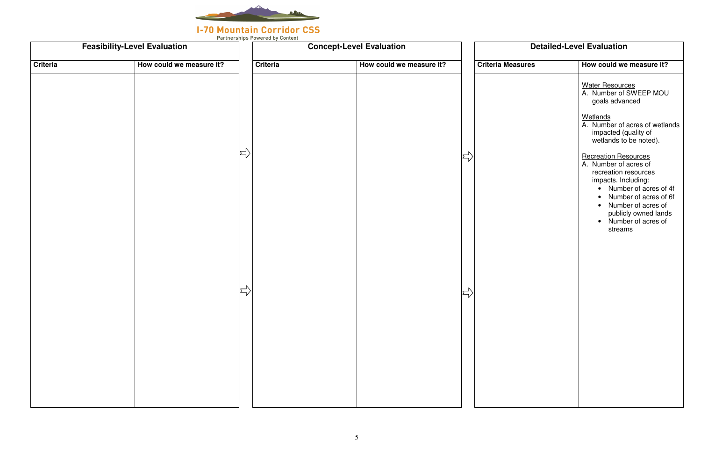

|                 | <b>Feasibility-Level Evaluation</b> |                                         |                 | <b>Concept-Level Evaluation</b> |                      |                          | <b>Detailed-Level Evaluation</b>                                                                                                                                                                                                                          |
|-----------------|-------------------------------------|-----------------------------------------|-----------------|---------------------------------|----------------------|--------------------------|-----------------------------------------------------------------------------------------------------------------------------------------------------------------------------------------------------------------------------------------------------------|
| <b>Criteria</b> | How could we measure it?            |                                         | <b>Criteria</b> | How could we measure it?        |                      | <b>Criteria Measures</b> | How could we measure it?                                                                                                                                                                                                                                  |
|                 |                                     |                                         |                 |                                 |                      |                          | <b>Water Resources</b><br>A. Number of SWEEP MOL<br>goals advanced                                                                                                                                                                                        |
|                 |                                     |                                         |                 |                                 |                      |                          | Wetlands<br>A. Number of acres of wetla<br>impacted (quality of<br>wetlands to be noted).                                                                                                                                                                 |
|                 |                                     | $\left \rightleftharpoons\right\rangle$ |                 |                                 | $\Rightarrow$        |                          | <b>Recreation Resources</b><br>A. Number of acres of<br>recreation resources<br>impacts. Including:<br>Number of acres of<br>Number of acres of<br>$\bullet$<br>Number of acres of<br>$\bullet$<br>publicly owned land<br>• Number of acres of<br>streams |
|                 |                                     | $\Rightarrow$                           |                 |                                 | $\sum_{\mathcal{V}}$ |                          |                                                                                                                                                                                                                                                           |
|                 |                                     |                                         |                 |                                 |                      |                          |                                                                                                                                                                                                                                                           |
|                 |                                     |                                         |                 |                                 |                      |                          |                                                                                                                                                                                                                                                           |

| How could we measure it?                                                                                                                                                                                                                          |
|---------------------------------------------------------------------------------------------------------------------------------------------------------------------------------------------------------------------------------------------------|
| <b>Water Resources</b><br>A. Number of SWEEP MOU<br>goals advanced                                                                                                                                                                                |
| <b>Wetlands</b><br>A. Number of acres of wetlands<br>impacted (quality of<br>wetlands to be noted).                                                                                                                                               |
| <b>Recreation Resources</b><br>A. Number of acres of<br>recreation resources<br>impacts. Including:<br>Number of acres of 4f<br>Number of acres of 6f<br>Number of acres of<br>$\bullet$<br>publicly owned lands<br>Number of acres of<br>streams |
|                                                                                                                                                                                                                                                   |
|                                                                                                                                                                                                                                                   |
|                                                                                                                                                                                                                                                   |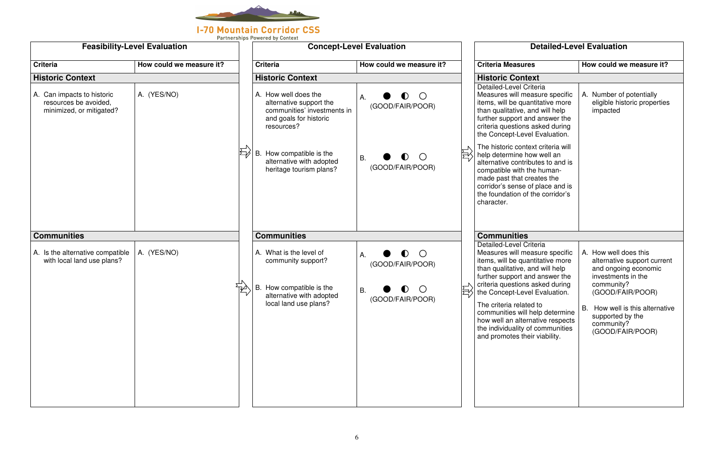

### **I-70 Mountain Corridor CSS**

Partnerships Powered by Context

|                                                                                 | <b>Feasibility-Level Evaluation</b> |                                                                                                                        | <b>Concept-Level Evaluation</b>                          |   | <b>Detailed-Level Evaluation</b>                                                                                                                                                                                                                        |                                                                                                                            |  |
|---------------------------------------------------------------------------------|-------------------------------------|------------------------------------------------------------------------------------------------------------------------|----------------------------------------------------------|---|---------------------------------------------------------------------------------------------------------------------------------------------------------------------------------------------------------------------------------------------------------|----------------------------------------------------------------------------------------------------------------------------|--|
| <b>Criteria</b>                                                                 | How could we measure it?            | <b>Criteria</b>                                                                                                        | How could we measure it?                                 |   | <b>Criteria Measures</b>                                                                                                                                                                                                                                | How could we measure it?                                                                                                   |  |
| <b>Historic Context</b>                                                         |                                     | <b>Historic Context</b>                                                                                                |                                                          |   | <b>Historic Context</b>                                                                                                                                                                                                                                 |                                                                                                                            |  |
| A. Can impacts to historic<br>resources be avoided,<br>minimized, or mitigated? | A. (YES/NO)                         | A. How well does the<br>alternative support the<br>communities' investments in<br>and goals for historic<br>resources? | $\bigcirc$<br>$\bullet$<br>A.<br>(GOOD/FAIR/POOR)        |   | Detailed-Level Criteria<br>Measures will measure specific<br>items, will be quantitative more<br>than qualitative, and will help<br>further support and answer the<br>criteria questions asked during<br>the Concept-Level Evaluation.                  | A. Number of potentially<br>eligible historic properties<br>impacted                                                       |  |
|                                                                                 |                                     | B. How compatible is the<br>alternative with adopted<br>heritage tourism plans?                                        | $\bullet$<br>$\bigcirc$<br><b>B.</b><br>(GOOD/FAIR/POOR) | 巨 | The historic context criteria will<br>help determine how well an<br>alternative contributes to and is<br>compatible with the human-<br>made past that creates the<br>corridor's sense of place and is<br>the foundation of the corridor's<br>character. |                                                                                                                            |  |
| <b>Communities</b>                                                              |                                     | <b>Communities</b>                                                                                                     |                                                          |   | <b>Communities</b>                                                                                                                                                                                                                                      |                                                                                                                            |  |
| A. Is the alternative compatible<br>with local land use plans?                  | A. (YES/NO)                         | A. What is the level of<br>community support?                                                                          | $\bullet$ O<br>А.<br>(GOOD/FAIR/POOR)                    |   | Detailed-Level Criteria<br>Measures will measure specific<br>items, will be quantitative more<br>than qualitative, and will help<br>further support and answer the                                                                                      | A. How well does this<br>alternative support current<br>and ongoing economic<br>investments in the                         |  |
|                                                                                 | ₩                                   | B. How compatible is the<br>alternative with adopted<br>local land use plans?                                          | <b>B.</b><br>(GOOD/FAIR/POOR)                            | Ę | criteria questions asked during<br>the Concept-Level Evaluation.<br>The criteria related to<br>communities will help determine<br>how well an alternative respects<br>the individuality of communities<br>and promotes their viability.                 | community?<br>(GOOD/FAIR/POOR)<br>How well is this alternative<br>В.<br>supported by the<br>community?<br>(GOOD/FAIR/POOR) |  |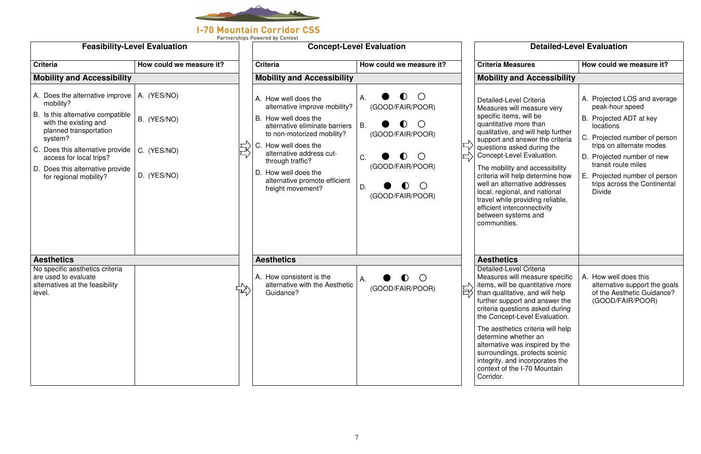

| <b>Feasibility-Level Evaluation</b>                                                                                                                                                                                                                                            |                                                          | r artherships rowered by Context<br><b>Concept-Level Evaluation</b>                                                                                                                                                                                                                                 |                                                                                                                                                                                                                  |    | <b>Detailed-Level Evaluation</b>                                                                                                                                                                                                                                                                                                                                                                                                                                                                 |                                                                                                                                                                                                                                                                                                |  |  |
|--------------------------------------------------------------------------------------------------------------------------------------------------------------------------------------------------------------------------------------------------------------------------------|----------------------------------------------------------|-----------------------------------------------------------------------------------------------------------------------------------------------------------------------------------------------------------------------------------------------------------------------------------------------------|------------------------------------------------------------------------------------------------------------------------------------------------------------------------------------------------------------------|----|--------------------------------------------------------------------------------------------------------------------------------------------------------------------------------------------------------------------------------------------------------------------------------------------------------------------------------------------------------------------------------------------------------------------------------------------------------------------------------------------------|------------------------------------------------------------------------------------------------------------------------------------------------------------------------------------------------------------------------------------------------------------------------------------------------|--|--|
| <b>Criteria</b>                                                                                                                                                                                                                                                                | How could we measure it?                                 | <b>Criteria</b>                                                                                                                                                                                                                                                                                     | How could we measure it?                                                                                                                                                                                         |    | <b>Criteria Measures</b>                                                                                                                                                                                                                                                                                                                                                                                                                                                                         | How could we measure it?                                                                                                                                                                                                                                                                       |  |  |
| <b>Mobility and Accessibility</b>                                                                                                                                                                                                                                              |                                                          | <b>Mobility and Accessibility</b>                                                                                                                                                                                                                                                                   |                                                                                                                                                                                                                  |    | <b>Mobility and Accessibility</b>                                                                                                                                                                                                                                                                                                                                                                                                                                                                |                                                                                                                                                                                                                                                                                                |  |  |
| A. Does the alternative improve  <br>mobility?<br>B. Is this alternative compatible<br>with the existing and<br>planned transportation<br>system?<br>C. Does this alternative provide<br>access for local trips?<br>D. Does this alternative provide<br>for regional mobility? | A. (YES/NO)<br>B. (YES/NO)<br>C. (YES/NO)<br>D. (YES/NO) | A. How well does the<br>alternative improve mobility?<br>B. How well does the<br>alternative eliminate barriers<br>to non-motorized mobility?<br>C. How well does the<br>alternative address cut-<br>through traffic?<br>D. How well does the<br>alternative promote efficient<br>freight movement? | $\bigcirc$<br>$\bullet$<br>А.<br>(GOOD/FAIR/POOR)<br>$\bigcirc$<br>$\bullet$<br>В.<br>(GOOD/FAIR/POOR)<br>$\bullet$<br>$\bigcirc$<br>C.<br>(GOOD/FAIR/POOR)<br>$\bullet$<br>$\bigcirc$<br>D.<br>(GOOD/FAIR/POOR) |    | Detailed-Level Criteria<br>Measures will measure very<br>specific items, will be<br>quantitative more than<br>qualitative, and will help further<br>support and answer the criteria<br>questions asked during the<br>Concept-Level Evaluation.<br>The mobility and accessibility<br>criteria will help determine how<br>well an alternative addresses<br>local, regional, and national<br>travel while providing reliable,<br>efficient interconnectivity<br>between systems and<br>communities. | A. Projected LOS and average<br>peak-hour speed<br>B. Projected ADT at key<br>locations<br>C. Projected number of person<br>trips on alternate modes<br>D. Projected number of new<br>transit route miles<br>Е.<br>Projected number of person<br>trips across the Continental<br><b>Divide</b> |  |  |
| <b>Aesthetics</b>                                                                                                                                                                                                                                                              |                                                          | <b>Aesthetics</b>                                                                                                                                                                                                                                                                                   |                                                                                                                                                                                                                  |    | <b>Aesthetics</b>                                                                                                                                                                                                                                                                                                                                                                                                                                                                                |                                                                                                                                                                                                                                                                                                |  |  |
| No specific aesthetics criteria<br>are used to evaluate<br>alternatives at the feasibility<br>level.                                                                                                                                                                           |                                                          | A. How consistent is the<br>alternative with the Aesthetic<br>Guidance?                                                                                                                                                                                                                             | $\blacksquare$<br>А.<br>(GOOD/FAIR/POOR)                                                                                                                                                                         | 권시 | Detailed-Level Criteria<br>Measures will measure specific<br>items, will be quantitative more<br>than qualitative, and will help<br>further support and answer the<br>criteria questions asked during<br>the Concept-Level Evaluation.                                                                                                                                                                                                                                                           | A. How well does this<br>alternative support the goals<br>of the Aesthetic Guidance?<br>(GOOD/FAIR/POOR)                                                                                                                                                                                       |  |  |
|                                                                                                                                                                                                                                                                                |                                                          |                                                                                                                                                                                                                                                                                                     |                                                                                                                                                                                                                  |    | The aesthetics criteria will help<br>determine whether an<br>alternative was inspired by the<br>surroundings, protects scenic<br>integrity, and incorporates the<br>context of the I-70 Mountain<br>Corridor.                                                                                                                                                                                                                                                                                    |                                                                                                                                                                                                                                                                                                |  |  |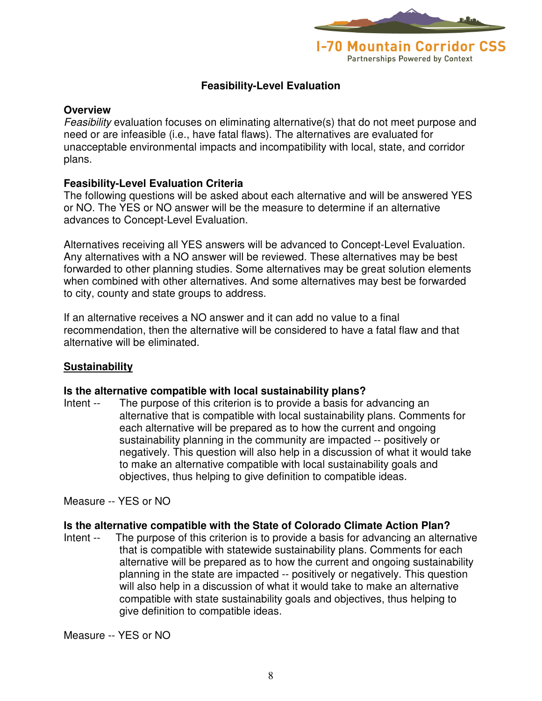

#### **Feasibility-Level Evaluation**

#### **Overview**

Feasibility evaluation focuses on eliminating alternative(s) that do not meet purpose and need or are infeasible (i.e., have fatal flaws). The alternatives are evaluated for unacceptable environmental impacts and incompatibility with local, state, and corridor plans.

#### **Feasibility-Level Evaluation Criteria**

The following questions will be asked about each alternative and will be answered YES or NO. The YES or NO answer will be the measure to determine if an alternative advances to Concept-Level Evaluation.

Alternatives receiving all YES answers will be advanced to Concept-Level Evaluation. Any alternatives with a NO answer will be reviewed. These alternatives may be best forwarded to other planning studies. Some alternatives may be great solution elements when combined with other alternatives. And some alternatives may best be forwarded to city, county and state groups to address.

If an alternative receives a NO answer and it can add no value to a final recommendation, then the alternative will be considered to have a fatal flaw and that alternative will be eliminated.

#### **Sustainability**

#### **Is the alternative compatible with local sustainability plans?**

Intent -- The purpose of this criterion is to provide a basis for advancing an alternative that is compatible with local sustainability plans. Comments for each alternative will be prepared as to how the current and ongoing sustainability planning in the community are impacted -- positively or negatively. This question will also help in a discussion of what it would take to make an alternative compatible with local sustainability goals and objectives, thus helping to give definition to compatible ideas.

Measure -- YES or NO

#### **Is the alternative compatible with the State of Colorado Climate Action Plan?**

Intent -- The purpose of this criterion is to provide a basis for advancing an alternative that is compatible with statewide sustainability plans. Comments for each alternative will be prepared as to how the current and ongoing sustainability planning in the state are impacted -- positively or negatively. This question will also help in a discussion of what it would take to make an alternative compatible with state sustainability goals and objectives, thus helping to give definition to compatible ideas.

Measure -- YES or NO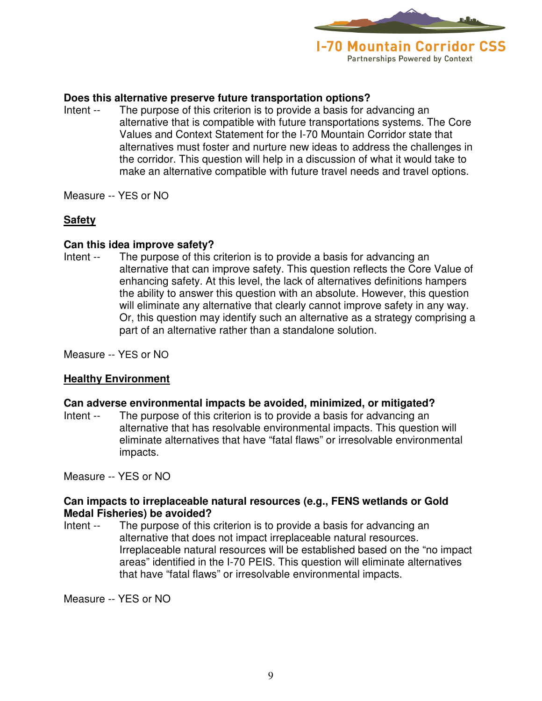

#### **Does this alternative preserve future transportation options?**

- Intent -- The purpose of this criterion is to provide a basis for advancing an alternative that is compatible with future transportations systems. The Core Values and Context Statement for the I-70 Mountain Corridor state that alternatives must foster and nurture new ideas to address the challenges in the corridor. This question will help in a discussion of what it would take to make an alternative compatible with future travel needs and travel options.
- Measure -- YES or NO

#### **Safety**

#### **Can this idea improve safety?**

Intent -- The purpose of this criterion is to provide a basis for advancing an alternative that can improve safety. This question reflects the Core Value of enhancing safety. At this level, the lack of alternatives definitions hampers the ability to answer this question with an absolute. However, this question will eliminate any alternative that clearly cannot improve safety in any way. Or, this question may identify such an alternative as a strategy comprising a part of an alternative rather than a standalone solution.

Measure -- YES or NO

### **Healthy Environment**

#### **Can adverse environmental impacts be avoided, minimized, or mitigated?**

Intent -- The purpose of this criterion is to provide a basis for advancing an alternative that has resolvable environmental impacts. This question will eliminate alternatives that have "fatal flaws" or irresolvable environmental impacts.

Measure -- YES or NO

#### **Can impacts to irreplaceable natural resources (e.g., FENS wetlands or Gold Medal Fisheries) be avoided?**

Intent -- The purpose of this criterion is to provide a basis for advancing an alternative that does not impact irreplaceable natural resources. Irreplaceable natural resources will be established based on the "no impact areas" identified in the I-70 PEIS. This question will eliminate alternatives that have "fatal flaws" or irresolvable environmental impacts.

Measure -- YES or NO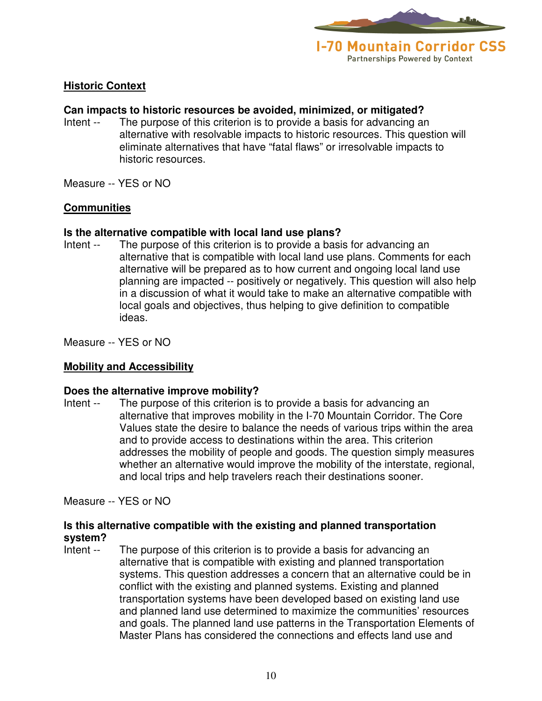

#### **Historic Context**

#### **Can impacts to historic resources be avoided, minimized, or mitigated?**

- Intent -- The purpose of this criterion is to provide a basis for advancing an alternative with resolvable impacts to historic resources. This question will eliminate alternatives that have "fatal flaws" or irresolvable impacts to historic resources.
- Measure -- YES or NO

#### **Communities**

#### **Is the alternative compatible with local land use plans?**

Intent -- The purpose of this criterion is to provide a basis for advancing an alternative that is compatible with local land use plans. Comments for each alternative will be prepared as to how current and ongoing local land use planning are impacted -- positively or negatively. This question will also help in a discussion of what it would take to make an alternative compatible with local goals and objectives, thus helping to give definition to compatible ideas.

Measure -- YES or NO

#### **Mobility and Accessibility**

#### **Does the alternative improve mobility?**

Intent -- The purpose of this criterion is to provide a basis for advancing an alternative that improves mobility in the I-70 Mountain Corridor. The Core Values state the desire to balance the needs of various trips within the area and to provide access to destinations within the area. This criterion addresses the mobility of people and goods. The question simply measures whether an alternative would improve the mobility of the interstate, regional, and local trips and help travelers reach their destinations sooner.

Measure -- YES or NO

#### **Is this alternative compatible with the existing and planned transportation system?**

Intent -- The purpose of this criterion is to provide a basis for advancing an alternative that is compatible with existing and planned transportation systems. This question addresses a concern that an alternative could be in conflict with the existing and planned systems. Existing and planned transportation systems have been developed based on existing land use and planned land use determined to maximize the communities' resources and goals. The planned land use patterns in the Transportation Elements of Master Plans has considered the connections and effects land use and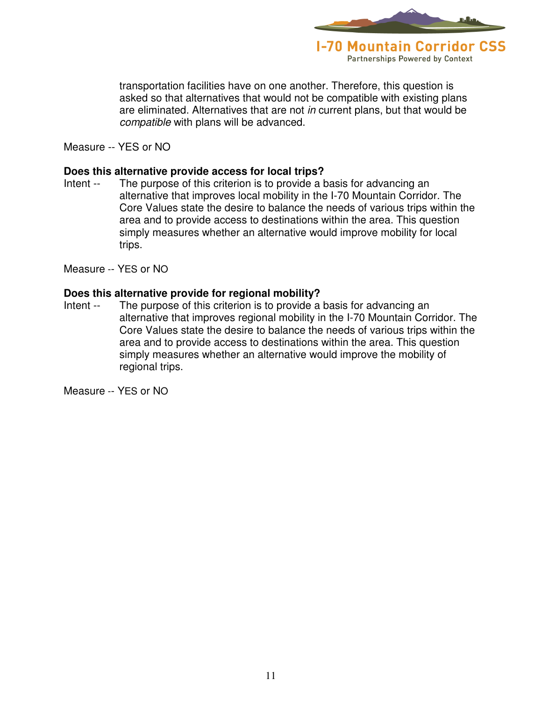

transportation facilities have on one another. Therefore, this question is asked so that alternatives that would not be compatible with existing plans are eliminated. Alternatives that are not in current plans, but that would be compatible with plans will be advanced.

Measure -- YES or NO

#### **Does this alternative provide access for local trips?**

Intent -- The purpose of this criterion is to provide a basis for advancing an alternative that improves local mobility in the I-70 Mountain Corridor. The Core Values state the desire to balance the needs of various trips within the area and to provide access to destinations within the area. This question simply measures whether an alternative would improve mobility for local trips.

Measure -- YES or NO

#### **Does this alternative provide for regional mobility?**

Intent -- The purpose of this criterion is to provide a basis for advancing an alternative that improves regional mobility in the I-70 Mountain Corridor. The Core Values state the desire to balance the needs of various trips within the area and to provide access to destinations within the area. This question simply measures whether an alternative would improve the mobility of regional trips.

Measure -- YES or NO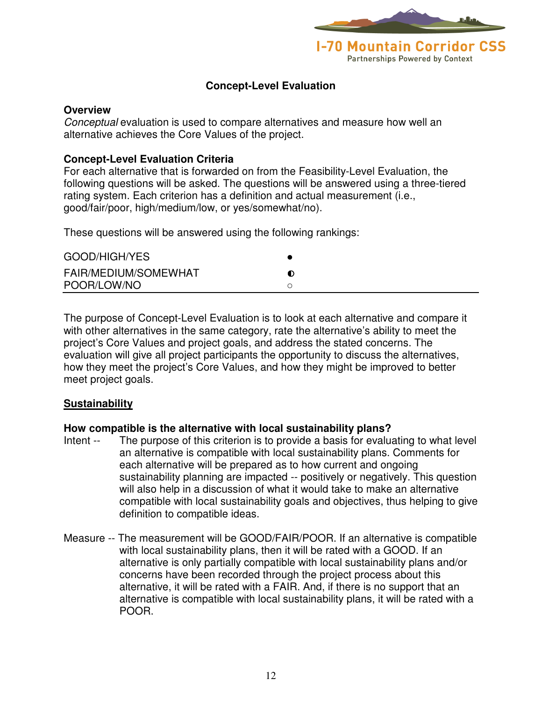

### **Concept-Level Evaluation**

#### **Overview**

Conceptual evaluation is used to compare alternatives and measure how well an alternative achieves the Core Values of the project.

#### **Concept-Level Evaluation Criteria**

For each alternative that is forwarded on from the Feasibility-Level Evaluation, the following questions will be asked. The questions will be answered using a three-tiered rating system. Each criterion has a definition and actual measurement (i.e., good/fair/poor, high/medium/low, or yes/somewhat/no).

These questions will be answered using the following rankings:

| GOOD/HIGH/YES        |  |
|----------------------|--|
| FAIR/MEDIUM/SOMEWHAT |  |
| POOR/LOW/NO          |  |

The purpose of Concept-Level Evaluation is to look at each alternative and compare it with other alternatives in the same category, rate the alternative's ability to meet the project's Core Values and project goals, and address the stated concerns. The evaluation will give all project participants the opportunity to discuss the alternatives, how they meet the project's Core Values, and how they might be improved to better meet project goals.

#### **Sustainability**

#### **How compatible is the alternative with local sustainability plans?**

- Intent -- The purpose of this criterion is to provide a basis for evaluating to what level an alternative is compatible with local sustainability plans. Comments for each alternative will be prepared as to how current and ongoing sustainability planning are impacted -- positively or negatively. This question will also help in a discussion of what it would take to make an alternative compatible with local sustainability goals and objectives, thus helping to give definition to compatible ideas.
- Measure -- The measurement will be GOOD/FAIR/POOR. If an alternative is compatible with local sustainability plans, then it will be rated with a GOOD. If an alternative is only partially compatible with local sustainability plans and/or concerns have been recorded through the project process about this alternative, it will be rated with a FAIR. And, if there is no support that an alternative is compatible with local sustainability plans, it will be rated with a POOR.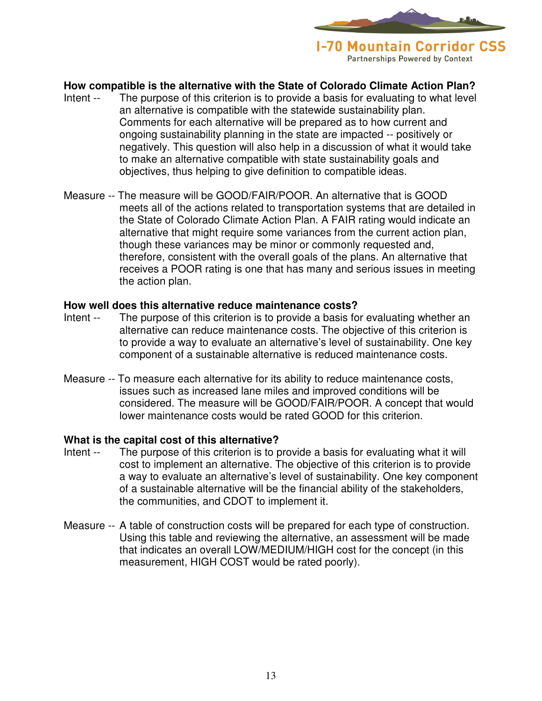

### **How compatible is the alternative with the State of Colorado Climate Action Plan?**

- Intent -- The purpose of this criterion is to provide a basis for evaluating to what level an alternative is compatible with the statewide sustainability plan. Comments for each alternative will be prepared as to how current and ongoing sustainability planning in the state are impacted -- positively or negatively. This question will also help in a discussion of what it would take to make an alternative compatible with state sustainability goals and objectives, thus helping to give definition to compatible ideas.
- Measure -- The measure will be GOOD/FAIR/POOR. An alternative that is GOOD meets all of the actions related to transportation systems that are detailed in the State of Colorado Climate Action Plan. A FAIR rating would indicate an alternative that might require some variances from the current action plan, though these variances may be minor or commonly requested and, therefore, consistent with the overall goals of the plans. An alternative that receives a POOR rating is one that has many and serious issues in meeting the action plan.

#### **How well does this alternative reduce maintenance costs?**

- Intent -- The purpose of this criterion is to provide a basis for evaluating whether an alternative can reduce maintenance costs. The objective of this criterion is to provide a way to evaluate an alternative's level of sustainability. One key component of a sustainable alternative is reduced maintenance costs.
- Measure -- To measure each alternative for its ability to reduce maintenance costs, issues such as increased lane miles and improved conditions will be considered. The measure will be GOOD/FAIR/POOR. A concept that would lower maintenance costs would be rated GOOD for this criterion.

#### **What is the capital cost of this alternative?**

- Intent -- The purpose of this criterion is to provide a basis for evaluating what it will cost to implement an alternative. The objective of this criterion is to provide a way to evaluate an alternative's level of sustainability. One key component of a sustainable alternative will be the financial ability of the stakeholders, the communities, and CDOT to implement it.
- Measure -- A table of construction costs will be prepared for each type of construction. Using this table and reviewing the alternative, an assessment will be made that indicates an overall LOW/MEDIUM/HIGH cost for the concept (in this measurement, HIGH COST would be rated poorly).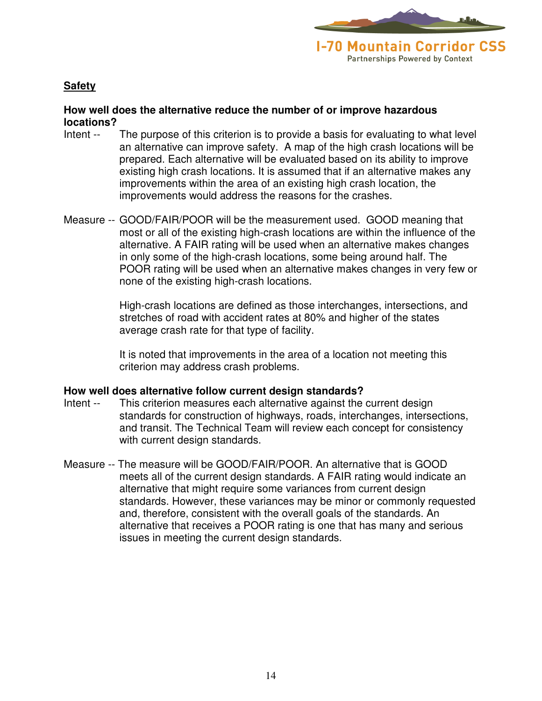

#### **Safety**

#### **How well does the alternative reduce the number of or improve hazardous locations?**

- Intent -- The purpose of this criterion is to provide a basis for evaluating to what level an alternative can improve safety. A map of the high crash locations will be prepared. Each alternative will be evaluated based on its ability to improve existing high crash locations. It is assumed that if an alternative makes any improvements within the area of an existing high crash location, the improvements would address the reasons for the crashes.
- Measure -- GOOD/FAIR/POOR will be the measurement used. GOOD meaning that most or all of the existing high-crash locations are within the influence of the alternative. A FAIR rating will be used when an alternative makes changes in only some of the high-crash locations, some being around half. The POOR rating will be used when an alternative makes changes in very few or none of the existing high-crash locations.

 High-crash locations are defined as those interchanges, intersections, and stretches of road with accident rates at 80% and higher of the states average crash rate for that type of facility.

 It is noted that improvements in the area of a location not meeting this criterion may address crash problems.

#### **How well does alternative follow current design standards?**

- Intent -- This criterion measures each alternative against the current design standards for construction of highways, roads, interchanges, intersections, and transit. The Technical Team will review each concept for consistency with current design standards.
- Measure -- The measure will be GOOD/FAIR/POOR. An alternative that is GOOD meets all of the current design standards. A FAIR rating would indicate an alternative that might require some variances from current design standards. However, these variances may be minor or commonly requested and, therefore, consistent with the overall goals of the standards. An alternative that receives a POOR rating is one that has many and serious issues in meeting the current design standards.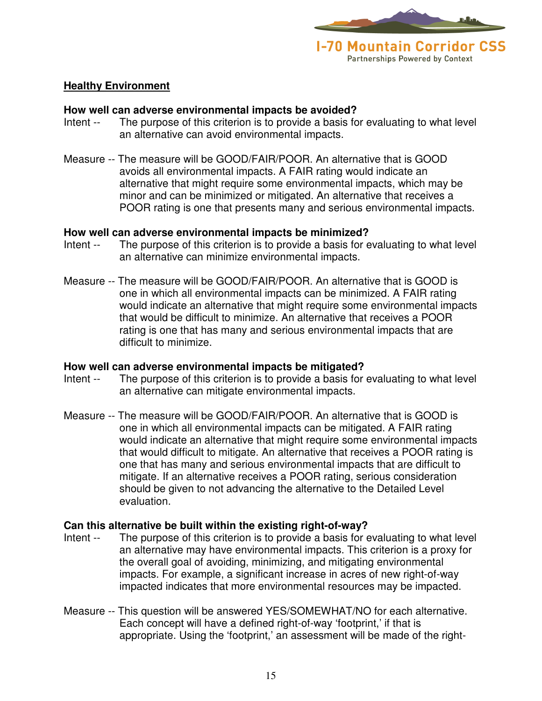

#### **Healthy Environment**

#### **How well can adverse environmental impacts be avoided?**

- Intent -- The purpose of this criterion is to provide a basis for evaluating to what level an alternative can avoid environmental impacts.
- Measure -- The measure will be GOOD/FAIR/POOR. An alternative that is GOOD avoids all environmental impacts. A FAIR rating would indicate an alternative that might require some environmental impacts, which may be minor and can be minimized or mitigated. An alternative that receives a POOR rating is one that presents many and serious environmental impacts.

#### **How well can adverse environmental impacts be minimized?**

- Intent -- The purpose of this criterion is to provide a basis for evaluating to what level an alternative can minimize environmental impacts.
- Measure -- The measure will be GOOD/FAIR/POOR. An alternative that is GOOD is one in which all environmental impacts can be minimized. A FAIR rating would indicate an alternative that might require some environmental impacts that would be difficult to minimize. An alternative that receives a POOR rating is one that has many and serious environmental impacts that are difficult to minimize.

#### **How well can adverse environmental impacts be mitigated?**

- Intent -- The purpose of this criterion is to provide a basis for evaluating to what level an alternative can mitigate environmental impacts.
- Measure -- The measure will be GOOD/FAIR/POOR. An alternative that is GOOD is one in which all environmental impacts can be mitigated. A FAIR rating would indicate an alternative that might require some environmental impacts that would difficult to mitigate. An alternative that receives a POOR rating is one that has many and serious environmental impacts that are difficult to mitigate. If an alternative receives a POOR rating, serious consideration should be given to not advancing the alternative to the Detailed Level evaluation.

#### **Can this alternative be built within the existing right-of-way?**

- Intent -- The purpose of this criterion is to provide a basis for evaluating to what level an alternative may have environmental impacts. This criterion is a proxy for the overall goal of avoiding, minimizing, and mitigating environmental impacts. For example, a significant increase in acres of new right-of-way impacted indicates that more environmental resources may be impacted.
- Measure -- This question will be answered YES/SOMEWHAT/NO for each alternative. Each concept will have a defined right-of-way 'footprint,' if that is appropriate. Using the 'footprint,' an assessment will be made of the right-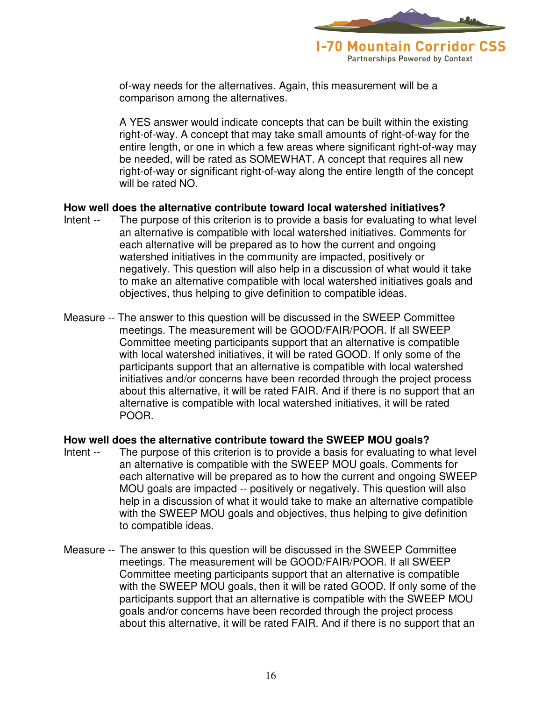

of-way needs for the alternatives. Again, this measurement will be a comparison among the alternatives.

A YES answer would indicate concepts that can be built within the existing right-of-way. A concept that may take small amounts of right-of-way for the entire length, or one in which a few areas where significant right-of-way may be needed, will be rated as SOMEWHAT. A concept that requires all new right-of-way or significant right-of-way along the entire length of the concept will be rated NO.

#### **How well does the alternative contribute toward local watershed initiatives?**

- Intent -- The purpose of this criterion is to provide a basis for evaluating to what level an alternative is compatible with local watershed initiatives. Comments for each alternative will be prepared as to how the current and ongoing watershed initiatives in the community are impacted, positively or negatively. This question will also help in a discussion of what would it take to make an alternative compatible with local watershed initiatives goals and objectives, thus helping to give definition to compatible ideas.
- Measure -- The answer to this question will be discussed in the SWEEP Committee meetings. The measurement will be GOOD/FAIR/POOR. If all SWEEP Committee meeting participants support that an alternative is compatible with local watershed initiatives, it will be rated GOOD. If only some of the participants support that an alternative is compatible with local watershed initiatives and/or concerns have been recorded through the project process about this alternative, it will be rated FAIR. And if there is no support that an alternative is compatible with local watershed initiatives, it will be rated POOR.

#### **How well does the alternative contribute toward the SWEEP MOU goals?**

- Intent -- The purpose of this criterion is to provide a basis for evaluating to what level an alternative is compatible with the SWEEP MOU goals. Comments for each alternative will be prepared as to how the current and ongoing SWEEP MOU goals are impacted -- positively or negatively. This question will also help in a discussion of what it would take to make an alternative compatible with the SWEEP MOU goals and objectives, thus helping to give definition to compatible ideas.
- Measure -- The answer to this question will be discussed in the SWEEP Committee meetings. The measurement will be GOOD/FAIR/POOR. If all SWEEP Committee meeting participants support that an alternative is compatible with the SWEEP MOU goals, then it will be rated GOOD. If only some of the participants support that an alternative is compatible with the SWEEP MOU goals and/or concerns have been recorded through the project process about this alternative, it will be rated FAIR. And if there is no support that an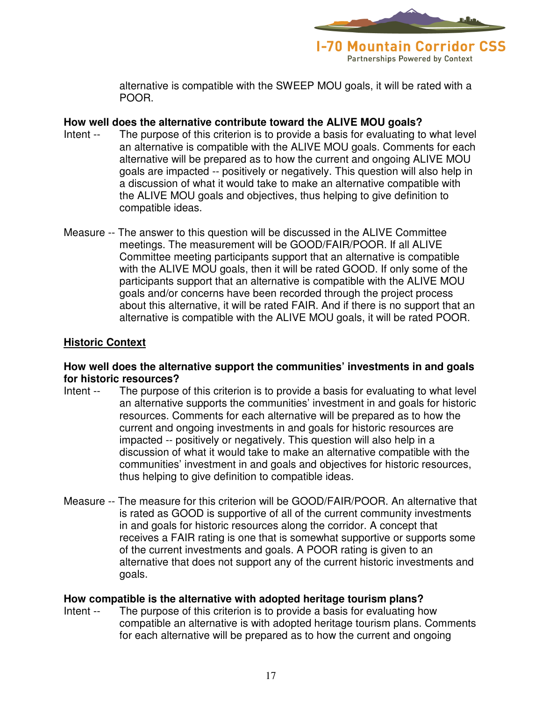

alternative is compatible with the SWEEP MOU goals, it will be rated with a POOR.

#### **How well does the alternative contribute toward the ALIVE MOU goals?**

- Intent -- The purpose of this criterion is to provide a basis for evaluating to what level an alternative is compatible with the ALIVE MOU goals. Comments for each alternative will be prepared as to how the current and ongoing ALIVE MOU goals are impacted -- positively or negatively. This question will also help in a discussion of what it would take to make an alternative compatible with the ALIVE MOU goals and objectives, thus helping to give definition to compatible ideas.
- Measure -- The answer to this question will be discussed in the ALIVE Committee meetings. The measurement will be GOOD/FAIR/POOR. If all ALIVE Committee meeting participants support that an alternative is compatible with the ALIVE MOU goals, then it will be rated GOOD. If only some of the participants support that an alternative is compatible with the ALIVE MOU goals and/or concerns have been recorded through the project process about this alternative, it will be rated FAIR. And if there is no support that an alternative is compatible with the ALIVE MOU goals, it will be rated POOR.

### **Historic Context**

#### **How well does the alternative support the communities' investments in and goals for historic resources?**

- Intent -- The purpose of this criterion is to provide a basis for evaluating to what level an alternative supports the communities' investment in and goals for historic resources. Comments for each alternative will be prepared as to how the current and ongoing investments in and goals for historic resources are impacted -- positively or negatively. This question will also help in a discussion of what it would take to make an alternative compatible with the communities' investment in and goals and objectives for historic resources, thus helping to give definition to compatible ideas.
- Measure -- The measure for this criterion will be GOOD/FAIR/POOR. An alternative that is rated as GOOD is supportive of all of the current community investments in and goals for historic resources along the corridor. A concept that receives a FAIR rating is one that is somewhat supportive or supports some of the current investments and goals. A POOR rating is given to an alternative that does not support any of the current historic investments and goals.

#### **How compatible is the alternative with adopted heritage tourism plans?**

Intent -- The purpose of this criterion is to provide a basis for evaluating how compatible an alternative is with adopted heritage tourism plans. Comments for each alternative will be prepared as to how the current and ongoing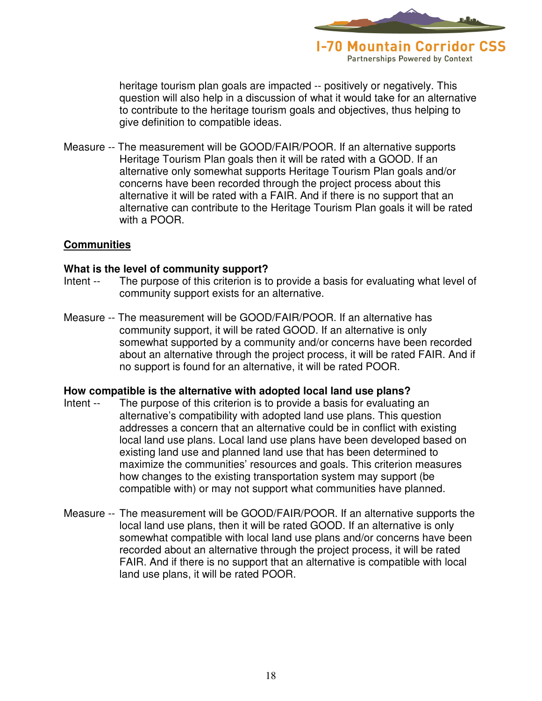

heritage tourism plan goals are impacted -- positively or negatively. This question will also help in a discussion of what it would take for an alternative to contribute to the heritage tourism goals and objectives, thus helping to give definition to compatible ideas.

Measure -- The measurement will be GOOD/FAIR/POOR. If an alternative supports Heritage Tourism Plan goals then it will be rated with a GOOD. If an alternative only somewhat supports Heritage Tourism Plan goals and/or concerns have been recorded through the project process about this alternative it will be rated with a FAIR. And if there is no support that an alternative can contribute to the Heritage Tourism Plan goals it will be rated with a POOR.

#### **Communities**

#### **What is the level of community support?**

- Intent -- The purpose of this criterion is to provide a basis for evaluating what level of community support exists for an alternative.
- Measure -- The measurement will be GOOD/FAIR/POOR. If an alternative has community support, it will be rated GOOD. If an alternative is only somewhat supported by a community and/or concerns have been recorded about an alternative through the project process, it will be rated FAIR. And if no support is found for an alternative, it will be rated POOR.

#### **How compatible is the alternative with adopted local land use plans?**

- Intent -- The purpose of this criterion is to provide a basis for evaluating an alternative's compatibility with adopted land use plans. This question addresses a concern that an alternative could be in conflict with existing local land use plans. Local land use plans have been developed based on existing land use and planned land use that has been determined to maximize the communities' resources and goals. This criterion measures how changes to the existing transportation system may support (be compatible with) or may not support what communities have planned.
- Measure -- The measurement will be GOOD/FAIR/POOR. If an alternative supports the local land use plans, then it will be rated GOOD. If an alternative is only somewhat compatible with local land use plans and/or concerns have been recorded about an alternative through the project process, it will be rated FAIR. And if there is no support that an alternative is compatible with local land use plans, it will be rated POOR.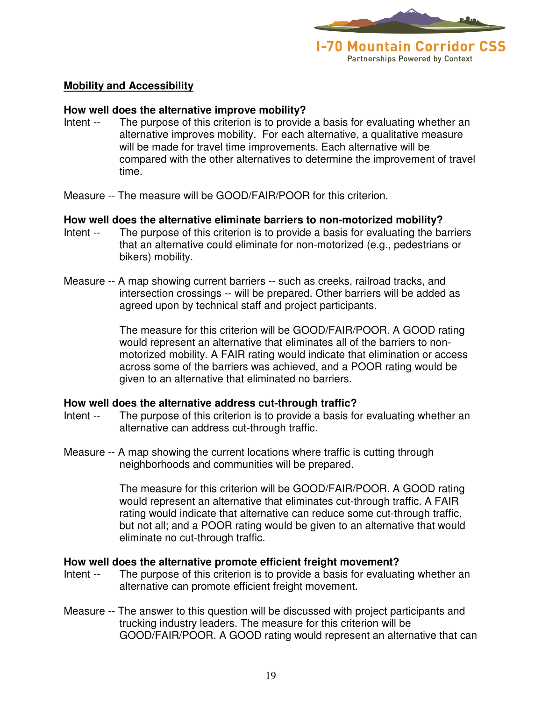

**Mobility and Accessibility**

#### **How well does the alternative improve mobility?**

- Intent -- The purpose of this criterion is to provide a basis for evaluating whether an alternative improves mobility. For each alternative, a qualitative measure will be made for travel time improvements. Each alternative will be compared with the other alternatives to determine the improvement of travel time.
- Measure -- The measure will be GOOD/FAIR/POOR for this criterion.

#### **How well does the alternative eliminate barriers to non-motorized mobility?**

- Intent -- The purpose of this criterion is to provide a basis for evaluating the barriers that an alternative could eliminate for non-motorized (e.g., pedestrians or bikers) mobility.
- Measure -- A map showing current barriers -- such as creeks, railroad tracks, and intersection crossings -- will be prepared. Other barriers will be added as agreed upon by technical staff and project participants.

The measure for this criterion will be GOOD/FAIR/POOR. A GOOD rating would represent an alternative that eliminates all of the barriers to nonmotorized mobility. A FAIR rating would indicate that elimination or access across some of the barriers was achieved, and a POOR rating would be given to an alternative that eliminated no barriers.

#### **How well does the alternative address cut-through traffic?**

- Intent -- The purpose of this criterion is to provide a basis for evaluating whether an alternative can address cut-through traffic.
- Measure -- A map showing the current locations where traffic is cutting through neighborhoods and communities will be prepared.

The measure for this criterion will be GOOD/FAIR/POOR. A GOOD rating would represent an alternative that eliminates cut-through traffic. A FAIR rating would indicate that alternative can reduce some cut-through traffic, but not all; and a POOR rating would be given to an alternative that would eliminate no cut-through traffic.

#### **How well does the alternative promote efficient freight movement?**

- Intent -- The purpose of this criterion is to provide a basis for evaluating whether an alternative can promote efficient freight movement.
- Measure -- The answer to this question will be discussed with project participants and trucking industry leaders. The measure for this criterion will be GOOD/FAIR/POOR. A GOOD rating would represent an alternative that can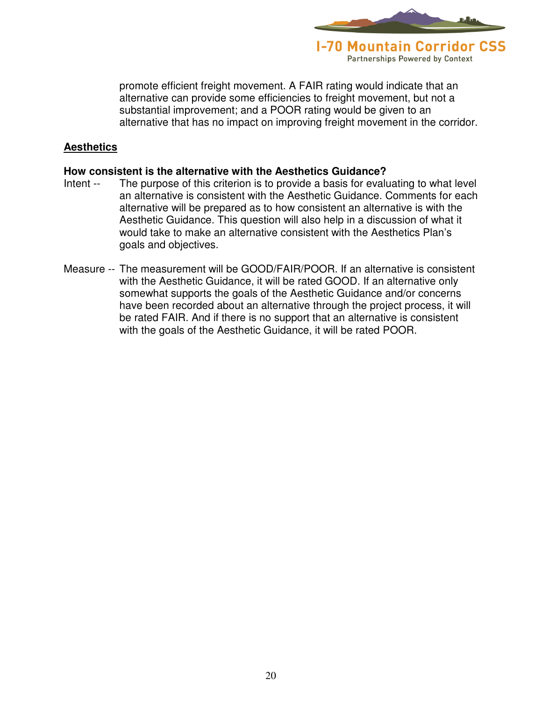

promote efficient freight movement. A FAIR rating would indicate that an alternative can provide some efficiencies to freight movement, but not a substantial improvement; and a POOR rating would be given to an alternative that has no impact on improving freight movement in the corridor.

#### **Aesthetics**

#### **How consistent is the alternative with the Aesthetics Guidance?**

- Intent -- The purpose of this criterion is to provide a basis for evaluating to what level an alternative is consistent with the Aesthetic Guidance. Comments for each alternative will be prepared as to how consistent an alternative is with the Aesthetic Guidance. This question will also help in a discussion of what it would take to make an alternative consistent with the Aesthetics Plan's goals and objectives.
- Measure -- The measurement will be GOOD/FAIR/POOR. If an alternative is consistent with the Aesthetic Guidance, it will be rated GOOD. If an alternative only somewhat supports the goals of the Aesthetic Guidance and/or concerns have been recorded about an alternative through the project process, it will be rated FAIR. And if there is no support that an alternative is consistent with the goals of the Aesthetic Guidance, it will be rated POOR.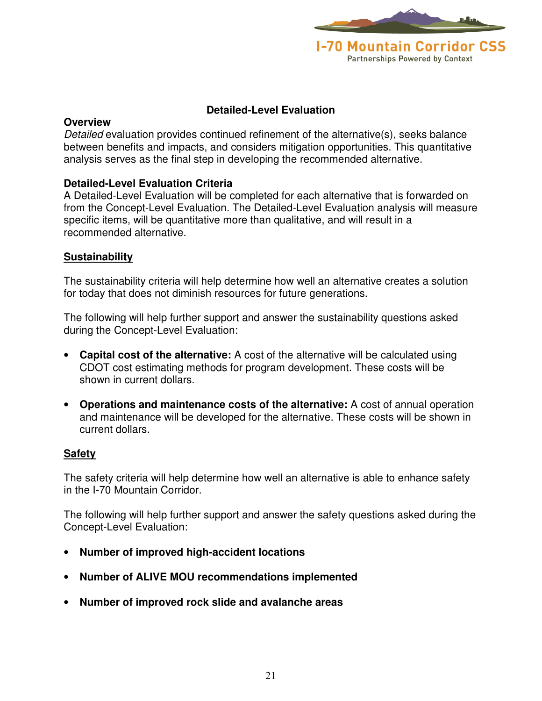

#### **Detailed-Level Evaluation**

#### **Overview**

Detailed evaluation provides continued refinement of the alternative(s), seeks balance between benefits and impacts, and considers mitigation opportunities. This quantitative analysis serves as the final step in developing the recommended alternative.

#### **Detailed-Level Evaluation Criteria**

A Detailed-Level Evaluation will be completed for each alternative that is forwarded on from the Concept-Level Evaluation. The Detailed-Level Evaluation analysis will measure specific items, will be quantitative more than qualitative, and will result in a recommended alternative.

#### **Sustainability**

The sustainability criteria will help determine how well an alternative creates a solution for today that does not diminish resources for future generations.

The following will help further support and answer the sustainability questions asked during the Concept-Level Evaluation:

- **Capital cost of the alternative:** A cost of the alternative will be calculated using CDOT cost estimating methods for program development. These costs will be shown in current dollars.
- **Operations and maintenance costs of the alternative:** A cost of annual operation and maintenance will be developed for the alternative. These costs will be shown in current dollars.

#### **Safety**

The safety criteria will help determine how well an alternative is able to enhance safety in the I-70 Mountain Corridor.

The following will help further support and answer the safety questions asked during the Concept-Level Evaluation:

- **Number of improved high-accident locations**
- **Number of ALIVE MOU recommendations implemented**
- **Number of improved rock slide and avalanche areas**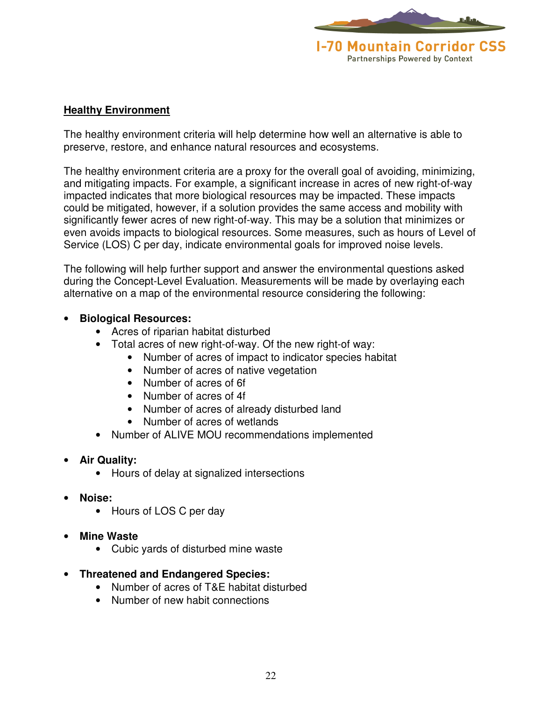

#### **Healthy Environment**

The healthy environment criteria will help determine how well an alternative is able to preserve, restore, and enhance natural resources and ecosystems.

The healthy environment criteria are a proxy for the overall goal of avoiding, minimizing, and mitigating impacts. For example, a significant increase in acres of new right-of-way impacted indicates that more biological resources may be impacted. These impacts could be mitigated, however, if a solution provides the same access and mobility with significantly fewer acres of new right-of-way. This may be a solution that minimizes or even avoids impacts to biological resources. Some measures, such as hours of Level of Service (LOS) C per day, indicate environmental goals for improved noise levels.

The following will help further support and answer the environmental questions asked during the Concept-Level Evaluation. Measurements will be made by overlaying each alternative on a map of the environmental resource considering the following:

#### • **Biological Resources:**

- Acres of riparian habitat disturbed
- Total acres of new right-of-way. Of the new right-of way:
	- Number of acres of impact to indicator species habitat
	- Number of acres of native vegetation
	- Number of acres of 6f
	- Number of acres of 4f
	- Number of acres of already disturbed land
	- Number of acres of wetlands
- Number of ALIVE MOU recommendations implemented

#### • **Air Quality:**

- Hours of delay at signalized intersections
- **Noise:** 
	- Hours of LOS C per day
- **Mine Waste** 
	- Cubic yards of disturbed mine waste
- **Threatened and Endangered Species:** 
	- Number of acres of T&E habitat disturbed
	- Number of new habit connections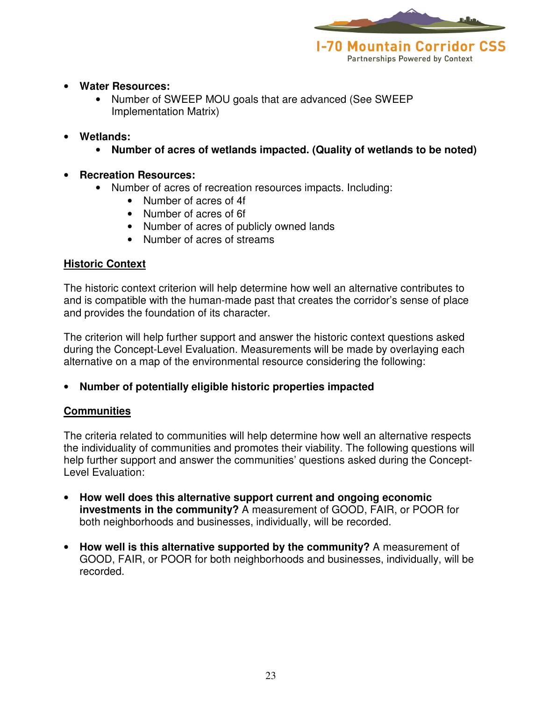

#### • **Water Resources:**

- Number of SWEEP MOU goals that are advanced (See SWEEP Implementation Matrix)
- **Wetlands:** 
	- **Number of acres of wetlands impacted. (Quality of wetlands to be noted)**
- **Recreation Resources:** 
	- Number of acres of recreation resources impacts. Including:
		- Number of acres of 4f
		- Number of acres of 6f
		- Number of acres of publicly owned lands
		- Number of acres of streams

#### **Historic Context**

The historic context criterion will help determine how well an alternative contributes to and is compatible with the human-made past that creates the corridor's sense of place and provides the foundation of its character.

The criterion will help further support and answer the historic context questions asked during the Concept-Level Evaluation. Measurements will be made by overlaying each alternative on a map of the environmental resource considering the following:

• **Number of potentially eligible historic properties impacted** 

### **Communities**

The criteria related to communities will help determine how well an alternative respects the individuality of communities and promotes their viability. The following questions will help further support and answer the communities' questions asked during the Concept-Level Evaluation:

- **How well does this alternative support current and ongoing economic investments in the community?** A measurement of GOOD, FAIR, or POOR for both neighborhoods and businesses, individually, will be recorded.
- **How well is this alternative supported by the community?** A measurement of GOOD, FAIR, or POOR for both neighborhoods and businesses, individually, will be recorded.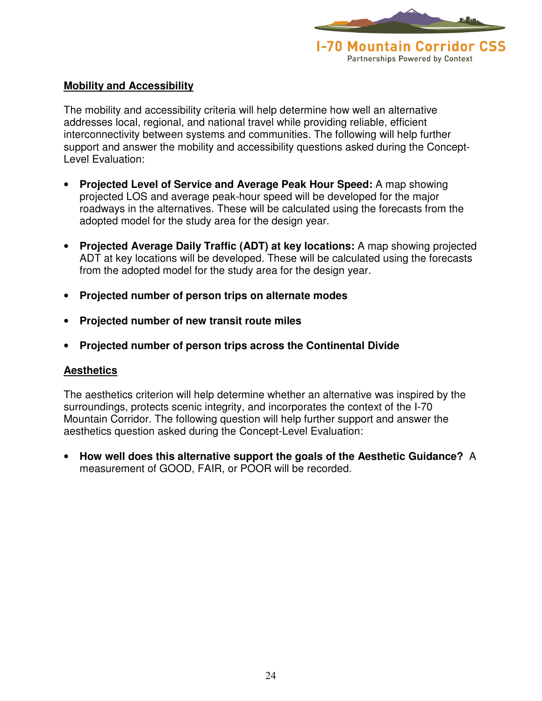

#### **Mobility and Accessibility**

The mobility and accessibility criteria will help determine how well an alternative addresses local, regional, and national travel while providing reliable, efficient interconnectivity between systems and communities. The following will help further support and answer the mobility and accessibility questions asked during the Concept-Level Evaluation:

- **Projected Level of Service and Average Peak Hour Speed:** A map showing projected LOS and average peak-hour speed will be developed for the major roadways in the alternatives. These will be calculated using the forecasts from the adopted model for the study area for the design year.
- **Projected Average Daily Traffic (ADT) at key locations:** A map showing projected ADT at key locations will be developed. These will be calculated using the forecasts from the adopted model for the study area for the design year.
- **Projected number of person trips on alternate modes**
- **Projected number of new transit route miles**
- **Projected number of person trips across the Continental Divide**

#### **Aesthetics**

The aesthetics criterion will help determine whether an alternative was inspired by the surroundings, protects scenic integrity, and incorporates the context of the I-70 Mountain Corridor. The following question will help further support and answer the aesthetics question asked during the Concept-Level Evaluation:

• **How well does this alternative support the goals of the Aesthetic Guidance?** A measurement of GOOD, FAIR, or POOR will be recorded.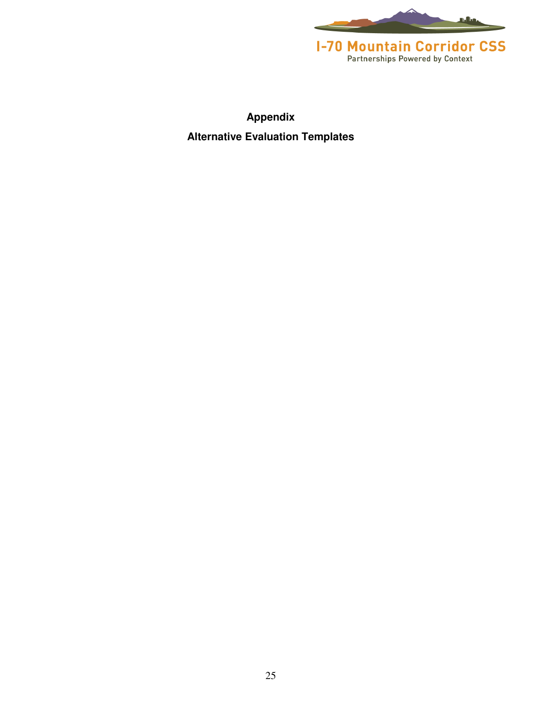

**Appendix Alternative Evaluation Templates**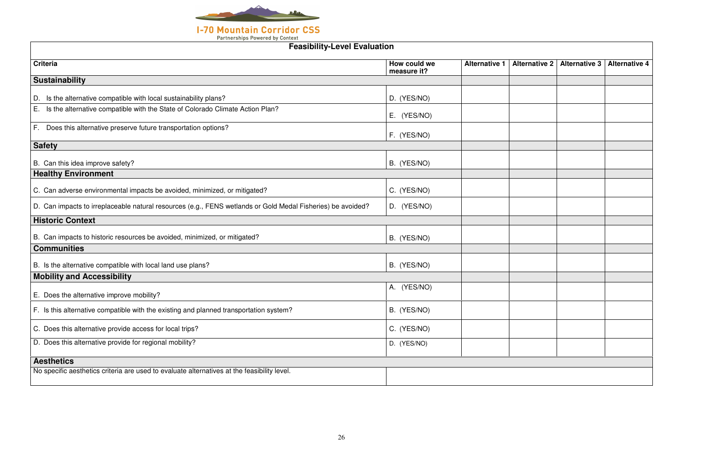

| <b>Feasibility-Level Evaluation</b>                                                                         |                             |                      |                      |                      |                      |  |  |
|-------------------------------------------------------------------------------------------------------------|-----------------------------|----------------------|----------------------|----------------------|----------------------|--|--|
| <b>Criteria</b>                                                                                             | How could we<br>measure it? | <b>Alternative 1</b> | <b>Alternative 2</b> | <b>Alternative 3</b> | <b>Alternative 4</b> |  |  |
| <b>Sustainability</b>                                                                                       |                             |                      |                      |                      |                      |  |  |
| D. Is the alternative compatible with local sustainability plans?                                           | D. (YES/NO)                 |                      |                      |                      |                      |  |  |
| E. Is the alternative compatible with the State of Colorado Climate Action Plan?                            | E. (YES/NO)                 |                      |                      |                      |                      |  |  |
| F. Does this alternative preserve future transportation options?                                            | F. (YES/NO)                 |                      |                      |                      |                      |  |  |
| <b>Safety</b>                                                                                               |                             |                      |                      |                      |                      |  |  |
| B. Can this idea improve safety?                                                                            | B. (YES/NO)                 |                      |                      |                      |                      |  |  |
| <b>Healthy Environment</b>                                                                                  |                             |                      |                      |                      |                      |  |  |
| C. Can adverse environmental impacts be avoided, minimized, or mitigated?                                   | C. (YES/NO)                 |                      |                      |                      |                      |  |  |
| D. Can impacts to irreplaceable natural resources (e.g., FENS wetlands or Gold Medal Fisheries) be avoided? | D. (YES/NO)                 |                      |                      |                      |                      |  |  |
| <b>Historic Context</b>                                                                                     |                             |                      |                      |                      |                      |  |  |
| B. Can impacts to historic resources be avoided, minimized, or mitigated?                                   | B. (YES/NO)                 |                      |                      |                      |                      |  |  |
| <b>Communities</b>                                                                                          |                             |                      |                      |                      |                      |  |  |
| B. Is the alternative compatible with local land use plans?                                                 | B. (YES/NO)                 |                      |                      |                      |                      |  |  |
| <b>Mobility and Accessibility</b>                                                                           |                             |                      |                      |                      |                      |  |  |
| E. Does the alternative improve mobility?                                                                   | A. (YES/NO)                 |                      |                      |                      |                      |  |  |
| F. Is this alternative compatible with the existing and planned transportation system?                      | B. (YES/NO)                 |                      |                      |                      |                      |  |  |
| C. Does this alternative provide access for local trips?                                                    | C. (YES/NO)                 |                      |                      |                      |                      |  |  |
| D. Does this alternative provide for regional mobility?                                                     | D. (YES/NO)                 |                      |                      |                      |                      |  |  |
| <b>Aesthetics</b>                                                                                           |                             |                      |                      |                      |                      |  |  |
| No specific aesthetics criteria are used to evaluate alternatives at the feasibility level.                 |                             |                      |                      |                      |                      |  |  |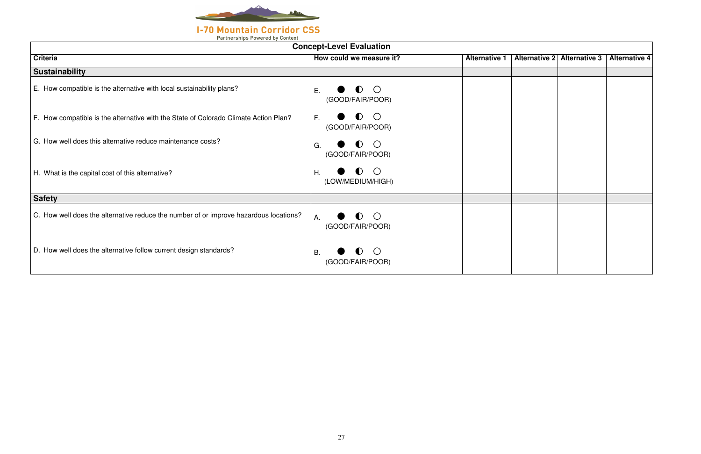

| <b>Concept-Level Evaluation</b>                                                       |                                                               |                      |  |                             |               |  |  |  |  |
|---------------------------------------------------------------------------------------|---------------------------------------------------------------|----------------------|--|-----------------------------|---------------|--|--|--|--|
| <b>Criteria</b>                                                                       | How could we measure it?                                      | <b>Alternative 1</b> |  | Alternative 2 Alternative 3 | Alternative 4 |  |  |  |  |
| <b>Sustainability</b>                                                                 |                                                               |                      |  |                             |               |  |  |  |  |
| E. How compatible is the alternative with local sustainability plans?                 | $\bigcirc$<br>$\blacksquare$<br>Ε.<br>(GOOD/FAIR/POOR)        |                      |  |                             |               |  |  |  |  |
| F. How compatible is the alternative with the State of Colorado Climate Action Plan?  | $\bullet$ O<br>F.<br>(GOOD/FAIR/POOR)                         |                      |  |                             |               |  |  |  |  |
| G. How well does this alternative reduce maintenance costs?                           | $\bullet$ 0<br>G.<br>(GOOD/FAIR/POOR)                         |                      |  |                             |               |  |  |  |  |
| H. What is the capital cost of this alternative?                                      | $\bullet$ O<br>Η.<br>(LOW/MEDIUM/HIGH)                        |                      |  |                             |               |  |  |  |  |
| <b>Safety</b>                                                                         |                                                               |                      |  |                             |               |  |  |  |  |
| C. How well does the alternative reduce the number of or improve hazardous locations? | $\bullet$ $\circ$<br>Α.<br>(GOOD/FAIR/POOR)                   |                      |  |                             |               |  |  |  |  |
| D. How well does the alternative follow current design standards?                     | $\bigcirc$<br>$\blacksquare$<br><b>B.</b><br>(GOOD/FAIR/POOR) |                      |  |                             |               |  |  |  |  |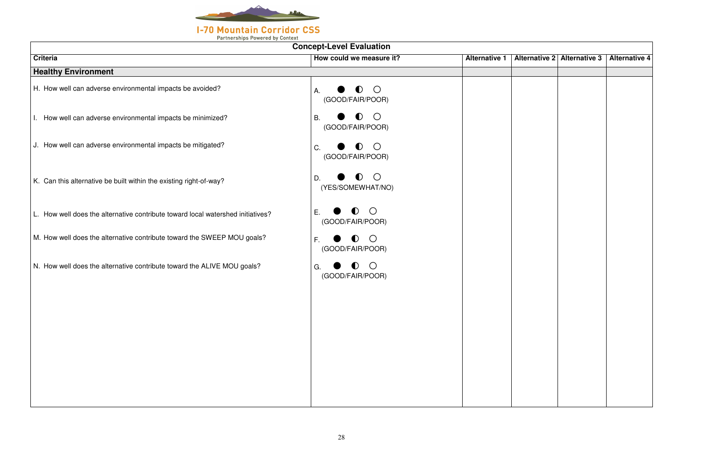

| <b>Concept-Level Evaluation</b>                                                 |                                                          |                      |  |                             |                      |  |  |  |  |
|---------------------------------------------------------------------------------|----------------------------------------------------------|----------------------|--|-----------------------------|----------------------|--|--|--|--|
| <b>Criteria</b>                                                                 | How could we measure it?                                 | <b>Alternative 1</b> |  | Alternative 2 Alternative 3 | <b>Alternative 4</b> |  |  |  |  |
| <b>Healthy Environment</b>                                                      |                                                          |                      |  |                             |                      |  |  |  |  |
| H. How well can adverse environmental impacts be avoided?                       | $\bigcirc$<br>$\bullet$<br>Α.<br>(GOOD/FAIR/POOR)        |                      |  |                             |                      |  |  |  |  |
| I. How well can adverse environmental impacts be minimized?                     | $\bigcirc$<br><b>B.</b><br>$\bullet$<br>(GOOD/FAIR/POOR) |                      |  |                             |                      |  |  |  |  |
| J. How well can adverse environmental impacts be mitigated?                     | $\bigcirc$<br>$\bullet$<br>C.<br>(GOOD/FAIR/POOR)        |                      |  |                             |                      |  |  |  |  |
| K. Can this alternative be built within the existing right-of-way?              | $\bullet$ O<br>D.<br>(YES/SOMEWHAT/NO)                   |                      |  |                             |                      |  |  |  |  |
| L. How well does the alternative contribute toward local watershed initiatives? | $\bigcirc$<br>$\bullet$<br>Ε.<br>(GOOD/FAIR/POOR)        |                      |  |                             |                      |  |  |  |  |
| M. How well does the alternative contribute toward the SWEEP MOU goals?         | $\bigcirc$<br>F.<br>$\bullet$<br>(GOOD/FAIR/POOR)        |                      |  |                             |                      |  |  |  |  |
| N. How well does the alternative contribute toward the ALIVE MOU goals?         | $\bigcirc$<br>$\bullet$<br>G.<br>(GOOD/FAIR/POOR)        |                      |  |                             |                      |  |  |  |  |
|                                                                                 |                                                          |                      |  |                             |                      |  |  |  |  |
|                                                                                 |                                                          |                      |  |                             |                      |  |  |  |  |
|                                                                                 |                                                          |                      |  |                             |                      |  |  |  |  |
|                                                                                 |                                                          |                      |  |                             |                      |  |  |  |  |
|                                                                                 |                                                          |                      |  |                             |                      |  |  |  |  |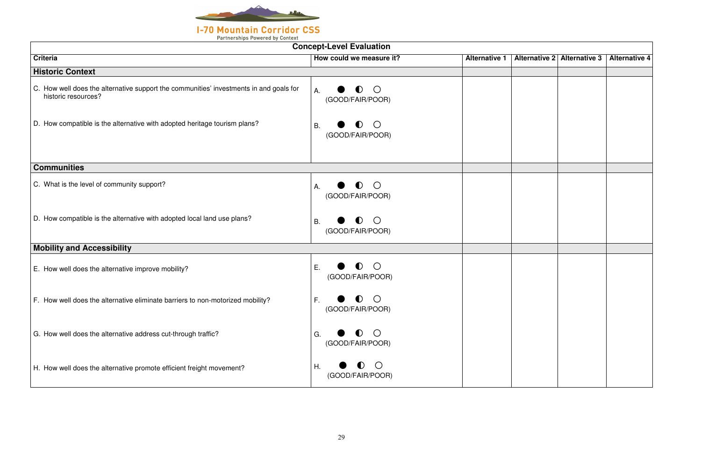

| <b>Concept-Level Evaluation</b>                                                                               |                                                        |                      |  |                             |                      |  |
|---------------------------------------------------------------------------------------------------------------|--------------------------------------------------------|----------------------|--|-----------------------------|----------------------|--|
| <b>Criteria</b>                                                                                               | How could we measure it?                               | <b>Alternative 1</b> |  | Alternative 2 Alternative 3 | <b>Alternative 4</b> |  |
| <b>Historic Context</b>                                                                                       |                                                        |                      |  |                             |                      |  |
| C. How well does the alternative support the communities' investments in and goals for<br>historic resources? | $\bigcirc$<br>$\bullet$<br>Α.<br>(GOOD/FAIR/POOR)      |                      |  |                             |                      |  |
| D. How compatible is the alternative with adopted heritage tourism plans?                                     | $\bigcirc$<br>I)<br>В.<br>(GOOD/FAIR/POOR)             |                      |  |                             |                      |  |
| <b>Communities</b>                                                                                            |                                                        |                      |  |                             |                      |  |
|                                                                                                               |                                                        |                      |  |                             |                      |  |
| C. What is the level of community support?                                                                    | $\bigcirc$<br>D.<br>Α.<br>(GOOD/FAIR/POOR)             |                      |  |                             |                      |  |
| D. How compatible is the alternative with adopted local land use plans?                                       | $\bigcirc$<br>I)<br>B.<br>(GOOD/FAIR/POOR)             |                      |  |                             |                      |  |
| <b>Mobility and Accessibility</b>                                                                             |                                                        |                      |  |                             |                      |  |
| E. How well does the alternative improve mobility?                                                            | $\bigcirc$<br>$\blacksquare$<br>Ε.<br>(GOOD/FAIR/POOR) |                      |  |                             |                      |  |
| F. How well does the alternative eliminate barriers to non-motorized mobility?                                | $\bullet$ 0<br>F.<br>(GOOD/FAIR/POOR)                  |                      |  |                             |                      |  |
| G. How well does the alternative address cut-through traffic?                                                 | $\bigcirc$<br>$\blacksquare$<br>G.<br>(GOOD/FAIR/POOR) |                      |  |                             |                      |  |
| H. How well does the alternative promote efficient freight movement?                                          | $\bigcirc$<br>Η.<br>$\blacksquare$<br>(GOOD/FAIR/POOR) |                      |  |                             |                      |  |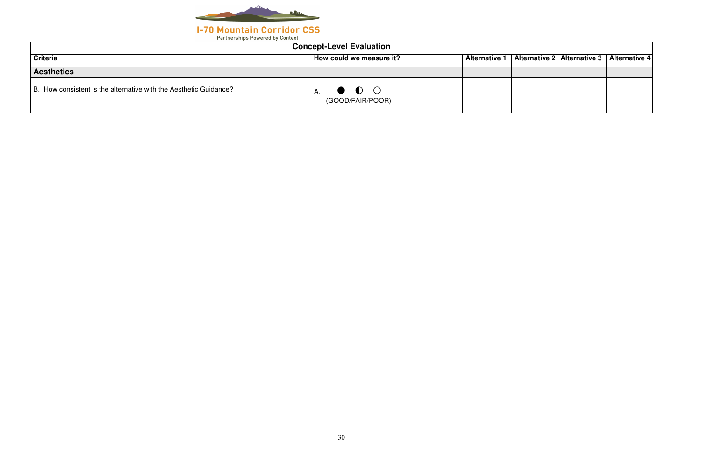

| <b>Concept-Level Evaluation</b>                                   |                                 |                      |  |                             |                      |
|-------------------------------------------------------------------|---------------------------------|----------------------|--|-----------------------------|----------------------|
| <b>Criteria</b>                                                   | How could we measure it?        | <b>Alternative 1</b> |  | Alternative 2 Alternative 3 | <b>Alternative 4</b> |
| <b>Aesthetics</b>                                                 |                                 |                      |  |                             |                      |
| B. How consistent is the alternative with the Aesthetic Guidance? | $\bullet$ O<br>(GOOD/FAIR/POOR) |                      |  |                             |                      |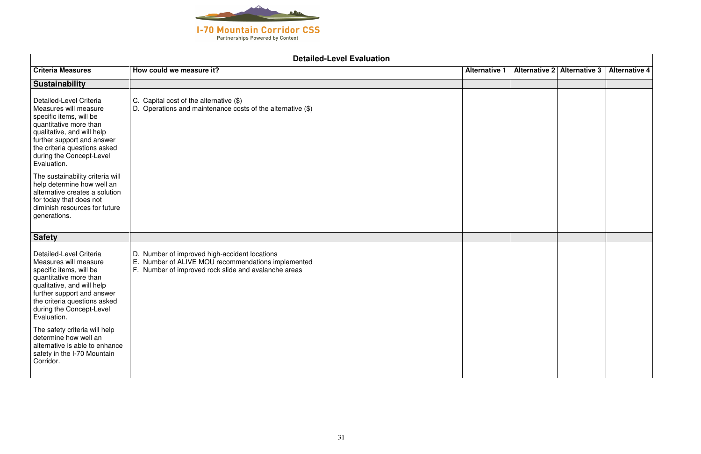

| <b>Detailed-Level Evaluation</b>                                                                                                                                                                                                             |                                                                                                                                                                |                      |                      |                      |                      |
|----------------------------------------------------------------------------------------------------------------------------------------------------------------------------------------------------------------------------------------------|----------------------------------------------------------------------------------------------------------------------------------------------------------------|----------------------|----------------------|----------------------|----------------------|
| <b>Criteria Measures</b>                                                                                                                                                                                                                     | How could we measure it?                                                                                                                                       | <b>Alternative 1</b> | <b>Alternative 2</b> | <b>Alternative 3</b> | <b>Alternative 4</b> |
| <b>Sustainability</b>                                                                                                                                                                                                                        |                                                                                                                                                                |                      |                      |                      |                      |
| Detailed-Level Criteria<br>Measures will measure<br>specific items, will be<br>quantitative more than<br>qualitative, and will help<br>further support and answer<br>the criteria questions asked<br>during the Concept-Level<br>Evaluation. | C. Capital cost of the alternative $(\$)$<br>D. Operations and maintenance costs of the alternative (\$)                                                       |                      |                      |                      |                      |
| The sustainability criteria will<br>help determine how well an<br>alternative creates a solution<br>for today that does not<br>diminish resources for future<br>generations.                                                                 |                                                                                                                                                                |                      |                      |                      |                      |
| <b>Safety</b>                                                                                                                                                                                                                                |                                                                                                                                                                |                      |                      |                      |                      |
| Detailed-Level Criteria<br>Measures will measure<br>specific items, will be<br>quantitative more than<br>qualitative, and will help<br>further support and answer<br>the criteria questions asked<br>during the Concept-Level<br>Evaluation. | D. Number of improved high-accident locations<br>E.<br>Number of ALIVE MOU recommendations implemented<br>F. Number of improved rock slide and avalanche areas |                      |                      |                      |                      |
| The safety criteria will help<br>determine how well an<br>alternative is able to enhance<br>safety in the I-70 Mountain<br>Corridor.                                                                                                         |                                                                                                                                                                |                      |                      |                      |                      |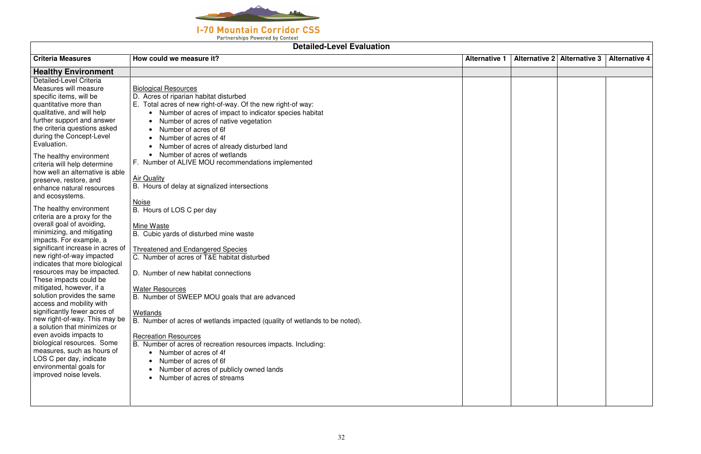

### **Detailed-Level Evaluation**

| <b>Criteria Measures</b><br>How could we measure it?<br><b>Alternative 3</b><br><b>Alternative 1</b><br><b>Alternative 2</b><br><b>Alternative 4</b><br><b>Healthy Environment</b><br>Detailed-Level Criteria<br>Measures will measure<br><b>Biological Resources</b><br>specific items, will be<br>D. Acres of riparian habitat disturbed<br>quantitative more than<br>E. Total acres of new right-of-way. Of the new right-of way:<br>qualitative, and will help<br>Number of acres of impact to indicator species habitat<br>further support and answer<br>Number of acres of native vegetation<br>the criteria questions asked<br>Number of acres of 6f<br>$\bullet$<br>during the Concept-Level<br>Number of acres of 4f<br>Evaluation.<br>Number of acres of already disturbed land<br>Number of acres of wetlands<br>The healthy environment<br>F. Number of ALIVE MOU recommendations implemented<br>criteria will help determine<br>how well an alternative is able<br><b>Air Quality</b><br>preserve, restore, and<br>B. Hours of delay at signalized intersections<br>enhance natural resources<br>and ecosystems.<br><b>Noise</b><br>The healthy environment<br>B. Hours of LOS C per day<br>criteria are a proxy for the<br>overall goal of avoiding,<br>Mine Waste |                            |
|----------------------------------------------------------------------------------------------------------------------------------------------------------------------------------------------------------------------------------------------------------------------------------------------------------------------------------------------------------------------------------------------------------------------------------------------------------------------------------------------------------------------------------------------------------------------------------------------------------------------------------------------------------------------------------------------------------------------------------------------------------------------------------------------------------------------------------------------------------------------------------------------------------------------------------------------------------------------------------------------------------------------------------------------------------------------------------------------------------------------------------------------------------------------------------------------------------------------------------------------------------------------------------|----------------------------|
|                                                                                                                                                                                                                                                                                                                                                                                                                                                                                                                                                                                                                                                                                                                                                                                                                                                                                                                                                                                                                                                                                                                                                                                                                                                                                  |                            |
|                                                                                                                                                                                                                                                                                                                                                                                                                                                                                                                                                                                                                                                                                                                                                                                                                                                                                                                                                                                                                                                                                                                                                                                                                                                                                  |                            |
| B. Cubic yards of disturbed mine waste<br>impacts. For example, a<br>significant increase in acres of<br><b>Threatened and Endangered Species</b><br>new right-of-way impacted<br>C. Number of acres of T&E habitat disturbed<br>indicates that more biological<br>resources may be impacted.<br>D. Number of new habitat connections<br>These impacts could be<br>mitigated, however, if a<br><b>Water Resources</b><br>solution provides the same<br>B. Number of SWEEP MOU goals that are advanced<br>access and mobility with<br>significantly fewer acres of<br>Wetlands<br>new right-of-way. This may be<br>B. Number of acres of wetlands impacted (quality of wetlands to be noted).<br>a solution that minimizes or<br>even avoids impacts to<br><b>Recreation Resources</b><br>biological resources. Some<br>B. Number of acres of recreation resources impacts. Including:<br>measures, such as hours of<br>Number of acres of 4f<br>LOS C per day, indicate<br>Number of acres of 6f                                                                                                                                                                                                                                                                                 | minimizing, and mitigating |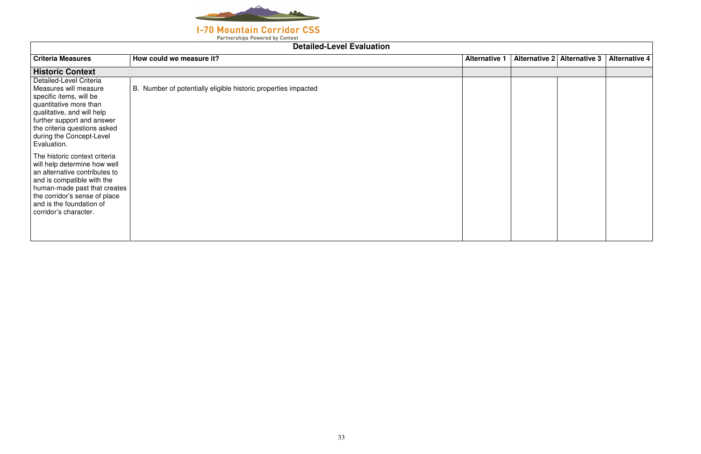

### **I-70 Mountain Corridor CSS**

Partnerships Powered by Context

| Alternative 2 Alternative 3 Alternative 4 |  |
|-------------------------------------------|--|
|                                           |  |
|                                           |  |
|                                           |  |
|                                           |  |
|                                           |  |
|                                           |  |
|                                           |  |
|                                           |  |
|                                           |  |
|                                           |  |
|                                           |  |
|                                           |  |
|                                           |  |
|                                           |  |
|                                           |  |
|                                           |  |

## **Detailed-Level EvaluationCriteria Measures How could we measure it? Alternative 1 Alternative 2 Alternative 3 Alternative 4 Historic Context** Detailed-Level Criteria Measures will measure specific items, will be quantitative more than qualitative, and will help further support and answer the criteria questions asked during the Concept-Level Evaluation. The historic context criteria will help determine how well an alternative contributes to and is compatible with the human-made past that creates the corridor's sense of place and is the foundation of corridor's character. B. Number of potentially eligible historic properties impacted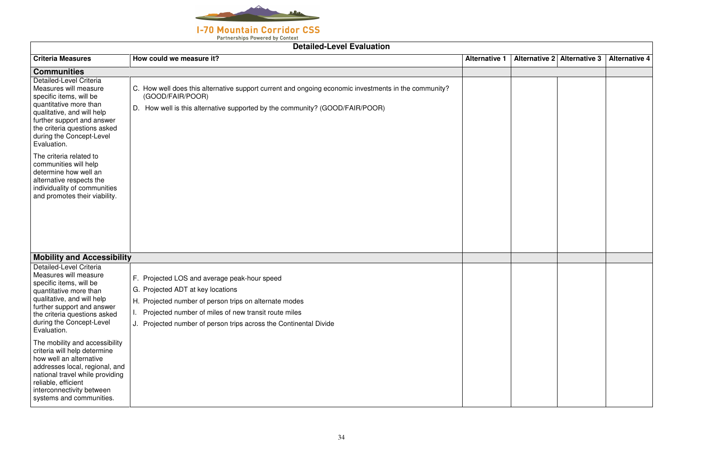

### **Detailed-Level Evaluation**

| <b>Detailed-Level Evaluation</b>                                                                                                                                                                                                               |                                                                                                                                                                                                                                                                          |                      |  |                             |                      |
|------------------------------------------------------------------------------------------------------------------------------------------------------------------------------------------------------------------------------------------------|--------------------------------------------------------------------------------------------------------------------------------------------------------------------------------------------------------------------------------------------------------------------------|----------------------|--|-----------------------------|----------------------|
| <b>Criteria Measures</b>                                                                                                                                                                                                                       | How could we measure it?                                                                                                                                                                                                                                                 | <b>Alternative 1</b> |  | Alternative 2 Alternative 3 | <b>Alternative 4</b> |
| <b>Communities</b>                                                                                                                                                                                                                             |                                                                                                                                                                                                                                                                          |                      |  |                             |                      |
| Detailed-Level Criteria<br>Measures will measure<br>specific items, will be<br>quantitative more than<br>qualitative, and will help<br>further support and answer<br>the criteria questions asked<br>during the Concept-Level<br>Evaluation.   | C. How well does this alternative support current and ongoing economic investments in the community?<br>(GOOD/FAIR/POOR)<br>D. How well is this alternative supported by the community? (GOOD/FAIR/POOR)                                                                 |                      |  |                             |                      |
| The criteria related to<br>communities will help<br>determine how well an<br>alternative respects the<br>individuality of communities<br>and promotes their viability.                                                                         |                                                                                                                                                                                                                                                                          |                      |  |                             |                      |
| <b>Mobility and Accessibility</b>                                                                                                                                                                                                              |                                                                                                                                                                                                                                                                          |                      |  |                             |                      |
| Detailed-Level Criteria<br>Measures will measure<br>specific items, will be<br>quantitative more than<br>qualitative, and will help<br>further support and answer<br>the criteria questions asked<br>during the Concept-Level<br>Evaluation.   | F. Projected LOS and average peak-hour speed<br>G. Projected ADT at key locations<br>H. Projected number of person trips on alternate modes<br>Projected number of miles of new transit route miles<br>J. Projected number of person trips across the Continental Divide |                      |  |                             |                      |
| The mobility and accessibility<br>criteria will help determine<br>how well an alternative<br>addresses local, regional, and<br>national travel while providing<br>reliable, efficient<br>interconnectivity between<br>systems and communities. |                                                                                                                                                                                                                                                                          |                      |  |                             |                      |